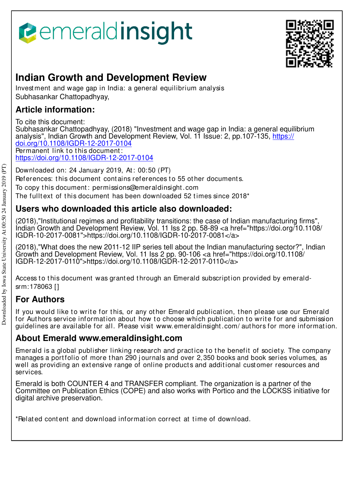



# **Indian Growth and Development Review**

Invest ment and wage gap in India: a general equilibrium analysis Subhasankar Chattopadhyay,

## **Article information:**

To cite this document: Subhasankar Chattopadhyay, (2018) "Investment and wage gap in India: a general equilibrium analysis", Indian Growth and Development Review, Vol. 11 Issue: 2, pp.107-135, <u>https://</u> doi.org/10.1108/IGDR-12-2017-0104 Permanent link to this document: https://doi.org/10.1108/IGDR-12-2017-0104

Downloaded on: 24 January 2019, At : 00:50 (PT) References: this document contains references to 55 other documents.

To copy t his document : permissions@emeraldinsight .com

The fulltext of this document has been downloaded 52 times since 2018\*

# **Users who downloaded this article also downloaded:**

(2018),"Institutional regimes and profitability transitions: the case of Indian manufacturing firms", Indian Growth and Development Review, Vol. 11 Iss 2 pp. 58-89 <a href="https://doi.org/10.1108/ IGDR-10-2017-0081">https://doi.org/10.1108/IGDR-10-2017-0081</a>

(2018),"What does the new 2011-12 IIP series tell about the Indian manufacturing sector?", Indian Growth and Development Review, Vol. 11 Iss 2 pp. 90-106 <a href="https://doi.org/10.1108/ IGDR-12-2017-0110">https://doi.org/10.1108/IGDR-12-2017-0110</a>

Access to this document was granted through an Emerald subscription provided by emeraldsrm:178063 []

# **For Authors**

If you would like to write for this, or any other Emerald publication, then please use our Emerald for Authors service information about how to choose which publication to write for and submission guidelines are available for all. Please visit www.emeraldinsight .com/ aut hors for more informat ion.

## **About Emerald www.emeraldinsight.com**

Emerald is a global publisher linking research and practice to the benefit of society. The company manages a portfolio of more than 290 journals and over 2,350 books and book series volumes, as well as providing an extensive range of online products and additional customer resources and services.

Emerald is both COUNTER 4 and TRANSFER compliant. The organization is a partner of the Committee on Publication Ethics (COPE) and also works with Portico and the LOCKSS initiative for digital archive preservation.

\*Relat ed cont ent and download informat ion correct at t ime of download.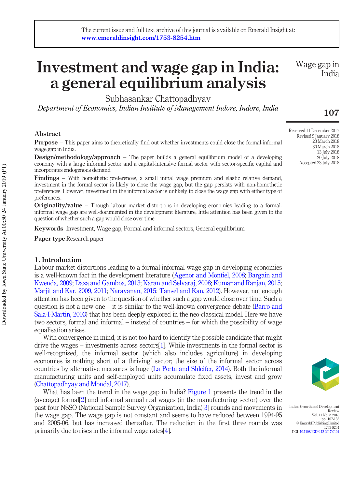# Investment and wage gap in India: a general equilibrium analysis

Subhasankar Chattopadhyay

*Department of Economics, Indian Institute of Management Indore, Indore, India*

### Abstract

**Purpose** – This paper aims to theoretically find out whether investments could close the formal-informal wage gap in India.

**Design/methodology/approach** – The paper builds a general equilibrium model of a developing economy with a large informal sector and a capital-intensive formal sector with sector-specific capital and incorporates endogenous demand.

Findings – With homothetic preferences, a small initial wage premium and elastic relative demand, investment in the formal sector is likely to close the wage gap, but the gap persists with non-homothetic preferences. However, investment in the informal sector is unlikely to close the wage gap with either type of preferences.

**Originality/value** – Though labour market distortions in developing economies leading to a formalinformal wage gap are well-documented in the development literature, little attention has been given to the question of whether such a gap would close over time.

Keywords Investment, Wage gap, Formal and informal sectors, General equilibrium

Paper type Research paper

#### 1. Introduction

Downloaded by Iowa State University At 00:50 24 January 2019 (PT) Downloaded by Iowa State University At 00:50 24 January 2019 (PT)

Labour market distortions leading to a formal-informal wage gap in developing economies is a well-known fact in the development literature (Agenor and Montiel, 2008; Bargain and Kwenda, 2009; Daza and Gamboa, 2013; Karan and Selvaraj, 2008; Kumar and Ranjan, 2015; Marjit and Kar, 2009, 2011; Narayanan, 2015; Tansel and Kan, 2012). However, not enough attention has been given to the question of whether such a gap would close over time. Such a question is not a new one  $-$  it is similar to the well-known convergence debate (Barro and Sala-I-Martin, 2003) that has been deeply explored in the neo-classical model. Here we have two sectors, formal and informal – instead of countries – for which the possibility of wage equalisation arises.

With convergence in mind, it is not too hard to identify the possible candidate that might drive the wages – investments across sectors[1]. While investments in the formal sector is well-recognised, the informal sector (which also includes agriculture) in developing economies is nothing short of a thriving' sector; the size of the informal sector across countries by alternative measures is huge (La Porta and Shleifer, 2014). Both the informal manufacturing units and self-employed units accumulate fixed assets, invest and grow (Chattopadhyay and Mondal, 2017).

What has been the trend in the wage gap in India? Figure 1 presents the trend in the (average) formal[2] and informal annual real wages (in the manufacturing sector) over the past four NSSO (National Sample Survey Organization, India)[3] rounds and movements in the wage gap. The wage gap is not constant and seems to have reduced between 1994-95 and 2005-06, but has increased thereafter. The reduction in the first three rounds was primarily due to rises in the informal wage rates[4].

Indian Growth and Development Review Vol. 11 No. 2, 2018 pp. 107-135 © Emerald Publishing Limited

DOI 10.1108/IGDR-12-2017-0104

1753-8254

Received 11 December 2017 Revised 9 January 2018 23 March 2018 30 March 2018 13 July 2018 20 July 2018 Accepted 23 July 2018

Wage gap in

India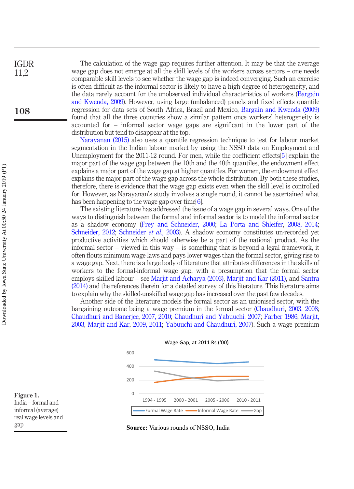The calculation of the wage gap requires further attention. It may be that the average wage gap does not emerge at all the skill levels of the workers across sectors – one needs comparable skill levels to see whether the wage gap is indeed converging. Such an exercise is often difficult as the informal sector is likely to have a high degree of heterogeneity, and the data rarely account for the unobserved individual characteristics of workers (Bargain and Kwenda, 2009). However, using large (unbalanced) panels and fixed effects quantile regression for data sets of South Africa, Brazil and Mexico, Bargain and Kwenda (2009) found that all the three countries show a similar pattern once workers' heterogeneity is accounted for – informal sector wage gaps are significant in the lower part of the distribution but tend to disappear at the top.

Narayanan (2015) also uses a quantile regression technique to test for labour market segmentation in the Indian labour market by using the NSSO data on Employment and Unemployment for the 2011-12 round. For men, while the coefficient effects[5] explain the major part of the wage gap between the 10th and the 40th quantiles, the endowment effect explains a major part of the wage gap at higher quantiles. For women, the endowment effect explains the major part of the wage gap across the whole distribution. By both these studies, therefore, there is evidence that the wage gap exists even when the skill level is controlled for. However, as Narayanan's study involves a single round, it cannot be ascertained what has been happening to the wage gap over time  $[6]$ .

The existing literature has addressed the issue of a wage gap in several ways. One of the ways to distinguish between the formal and informal sector is to model the informal sector as a shadow economy (Frey and Schneider, 2000; La Porta and Shleifer, 2008, 2014; Schneider, 2012; Schneider *et al.*, 2003). A shadow economy constitutes un-recorded yet productive activities which should otherwise be a part of the national product. As the informal sector – viewed in this way – is something that is beyond a legal framework, it often flouts minimum wage laws and pays lower wages than the formal sector, giving rise to a wage gap. Next, there is a large body of literature that attributes differences in the skills of workers to the formal-informal wage gap, with a presumption that the formal sector employs skilled labour – see Marjit and Acharya (2003), Marjit and Kar (2011), and Santra (2014) and the references therein for a detailed survey of this literature. This literature aims to explain why the skilled-unskilled wage gap has increased over the past few decades.

Another side of the literature models the formal sector as an unionised sector, with the bargaining outcome being a wage premium in the formal sector (Chaudhuri, 2003, 2008; Chaudhuri and Banerjee, 2007, 2010; Chaudhuri and Yabuuchi, 2007; Farber 1986; Marjit, 2003, Marjit and Kar, 2009, 2011; Yabuuchi and Chaudhuri, 2007). Such a wage premium



**Source:** Various rounds of NSSO, India



IGDR 11,2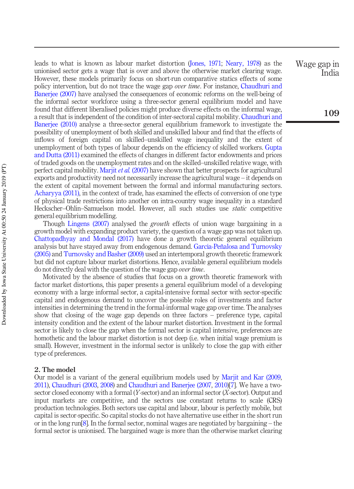leads to what is known as labour market distortion (Jones, 1971; Neary, 1978) as the unionised sector gets a wage that is over and above the otherwise market clearing wage. However, these models primarily focus on short-run comparative statics effects of some policy intervention, but do not trace the wage gap *over time*. For instance, Chaudhuri and Banerjee (2007) have analysed the consequences of economic reforms on the well-being of the informal sector workforce using a three-sector general equilibrium model and have found that different liberalised policies might produce diverse effects on the informal wage, a result that is independent of the condition of inter-sectoral capital mobility. Chaudhuri and Baneriee (2010) analyse a three-sector general equilibrium framework to investigate the possibility of unemployment of both skilled and unskilled labour and find that the effects of inflows of foreign capital on skilled–unskilled wage inequality and the extent of unemployment of both types of labour depends on the efficiency of skilled workers. Gupta and Dutta (2011) examined the effects of changes in different factor endowments and prices of traded goods on the unemployment rates and on the skilled–unskilled relative wage, with perfect capital mobility. Marjit *et al.* (2007) have shown that better prospects for agricultural exports and productivity need not necessarily increase the agricultural wage – it depends on the extent of capital movement between the formal and informal manufacturing sectors. Acharyya (2011), in the context of trade, has examined the effects of conversion of one type of physical trade restrictions into another on intra-country wage inequality in a standard Heckscher–Ohlin–Samuelson model. However, all such studies use *static* competitive general equilibrium modelling.

Though Lingens (2007) analysed the *growth* effects of union wage bargaining in a growth model with expanding product variety, the question of a wage gap was not taken up. Chattopadhyay and Mondal (2017) have done a growth theoretic general equilibrium analysis but have stayed away from endogenous demand. García-Peñalosa and Turnovsky (2005) and Turnovsky and Basher (2009) used an intertemporal growth theoretic framework but did not capture labour market distortions. Hence, available general equilibrium models do not directly deal with the question of the wage gap *over time*.

Motivated by the absence of studies that focus on a growth theoretic framework with factor market distortions, this paper presents a general equilibrium model of a developing economy with a large informal sector, a capital-intensive formal sector with sector-specific capital and endogenous demand to uncover the possible roles of investments and factor intensities in determining the trend in the formal-informal wage gap over time. The analyses show that closing of the wage gap depends on three factors – preference type, capital intensity condition and the extent of the labour market distortion. Investment in the formal sector is likely to close the gap when the formal sector is capital intensive, preferences are homothetic and the labour market distortion is not deep (i.e. when initial wage premium is small). However, investment in the informal sector is unlikely to close the gap with either type of preferences.

#### 2. The model

Our model is a variant of the general equilibrium models used by Marjit and Kar (2009, 2011), Chaudhuri (2003, 2008) and Chaudhuri and Banerjee (2007, 2010)[7]. We have a twosector closed economy with a formal (*Y*-sector) and an informal sector (*X*-sector). Output and input markets are competitive, and the sectors use constant returns to scale (CRS) production technologies. Both sectors use capital and labour, labour is perfectly mobile, but capital is sector-specific. So capital stocks do not have alternative use either in the short run or in the long run[8]. In the formal sector, nominal wages are negotiated by bargaining – the formal sector is unionised. The bargained wage is more than the otherwise market clearing

Wage gap in India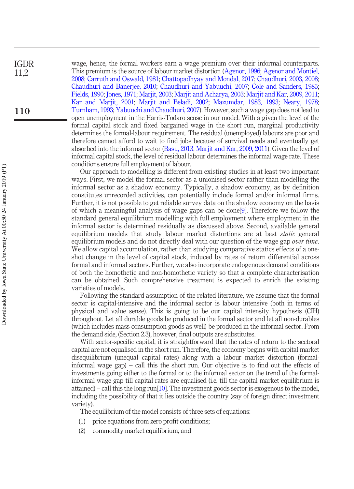wage, hence, the formal workers earn a wage premium over their informal counterparts. This premium is the source of labour market distortion (Agenor, 1996; Agenor and Montiel, 2008; Carruth and Oswald, 1981; Chattopadhyay and Mondal, 2017; Chaudhuri, 2003, 2008; Chaudhuri and Banerjee, 2010; Chaudhuri and Yabuuchi, 2007; Cole and Sanders, 1985; Fields, 1990; Jones, 1971; Marjit, 2003; Marjit and Acharya, 2003; Marjit and Kar, 2009, 2011; Kar and Marjit, 2001; Marjit and Beladi, 2002; Mazumdar, 1983, 1993; Neary, 1978; Turnham, 1993; Yabuuchi and Chaudhuri, 2007). However, such a wage gap does not lead to open unemployment in the Harris-Todaro sense in our model. With a given the level of the formal capital stock and fixed bargained wage in the short run, marginal productivity determines the formal-labour requirement. The residual (unemployed) labours are poor and therefore cannot afford to wait to find jobs because of survival needs and eventually get absorbed into the informal sector (Basu, 2013; Marjit and Kar, 2009, 2011). Given the level of informal capital stock, the level of residual labour determines the informal wage rate. These conditions ensure full employment of labour.

Our approach to modelling is different from existing studies in at least two important ways. First, we model the formal sector as a unionised sector rather than modelling the informal sector as a shadow economy. Typically, a shadow economy, as by definition constitutes unrecorded activities, can potentially include formal and/or informal firms. Further, it is not possible to get reliable survey data on the shadow economy on the basis of which a meaningful analysis of wage gaps can be done[9]. Therefore we follow the standard general equilibrium modelling with full employment where employment in the informal sector is determined residually as discussed above. Second, available general equilibrium models that study labour market distortions are at best *static* general equilibrium models and do not directly deal with our question of the wage gap *over time*. We allow capital accumulation, rather than studying comparative statics effects of a oneshot change in the level of capital stock, induced by rates of return differential across formal and informal sectors. Further, we also incorporate endogenous demand conditions of both the homothetic and non-homothetic variety so that a complete characterisation can be obtained. Such comprehensive treatment is expected to enrich the existing varieties of models.

Following the standard assumption of the related literature, we assume that the formal sector is capital-intensive and the informal sector is labour intensive (both in terms of physical and value sense). This is going to be our capital intensity hypothesis (CIH) throughout. Let all durable goods be produced in the formal sector and let all non-durables (which includes mass consumption goods as well) be produced in the informal sector. From the demand side, (Section 2.3), however, final outputs are substitutes.

With sector-specific capital, it is straightforward that the rates of return to the sectoral capital are not equalised in the short run. Therefore, the economy begins with capital market disequilibrium (unequal capital rates) along with a labour market distortion (formalinformal wage gap) – call this the short run. Our objective is to find out the effects of investments going either to the formal or to the informal sector on the trend of the formalinformal wage gap till capital rates are equalised (i.e. till the capital market equilibrium is attained) – call this the long run[10]. The investment goods sector is exogenous to the model, including the possibility of that it lies outside the country (say of foreign direct investment variety).

The equilibrium of the model consists of three sets of equations:

- (1) price equations from zero profit conditions;
- (2) commodity market equilibrium; and

IGDR 11,2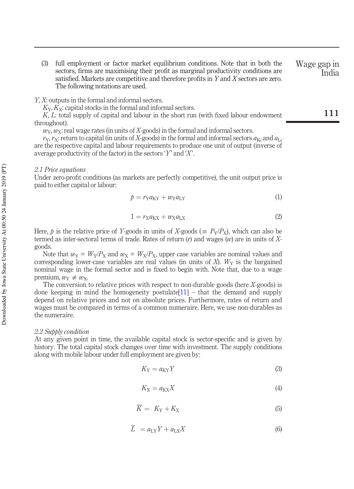(3) full employment or factor market equilibrium conditions. Note that in both the sectors, firms are maximising their profit as marginal productivity conditions are satisfied. Markets are competitive and therefore profits in *Y* and *X* sectors are zero. The following notations are used.

*Y*, *X*: outputs in the formal and informal sectors.

 $K_Y, K_X$ : capital stocks in the formal and informal sectors.

*K*, *L*: total supply of capital and labour in the short run (with fixed labour endowment throughout).

 $w_Y, w_X$ : real wage rates (in units of X-goods) in the formal and informal sectors.

 $r_{\rm Y}$ ,  $r_{\rm X}$ : return to capital (in units of *X*-goods) in the formal and informal sectors  $a_{\rm K}$  and  $a_{\rm L}$ are the respective capital and labour requirements to produce one unit of output (inverse of average productivity of the factor) in the sectors '*Y*' and '*X*'.

#### *2.1 Price equations*

Under zero-profit conditions (as markets are perfectly competitive), the unit output price is paid to either capital or labour:

$$
p = r_{Y}a_{KY} + w_{Y}a_{LY}
$$
 (1)

$$
1 = r_{\rm X} a_{\rm KX} + w_{\rm X} a_{\rm LX} \tag{2}
$$

Here, *p* is the relative price of *Y*-goods in units of *X*-goods ( $\equiv P_{\rm V}/P_{\rm X}$ ), which can also be termed as inter-sectoral terms of trade. Rates of return (*r*) and wages (*w*) are in units of *X*goods.

Note that  $w_Y = W_Y/P_X$  and  $w_X = W_X/P_X$ , upper case variables are nominal values and corresponding lower-case variables are real values (in units of  $X$ ).  $W_Y$  is the bargained nominal wage in the formal sector and is fixed to begin with. Note that, due to a wage premium,  $w_Y \neq w_X$ .

The conversion to relative prices with respect to non-durable goods (here *X*-goods) is done keeping in mind the homogeneity postulate $[11]$  – that the demand and supply depend on relative prices and not on absolute prices. Furthermore, rates of return and wages must be compared in terms of a common numeraire. Here, we use non-durables as the numeraire.

#### *2.2 Supply condition*

At any given point in time, the available capital stock is sector-specific and is given by history. The total capital stock changes over time with investment. The supply conditions along with mobile labour under full employment are given by:

$$
K_{\rm Y} = a_{\rm KY} Y \tag{3}
$$

$$
K_{\rm X} = a_{\rm KX} X \tag{4}
$$

$$
\overline{K} = K_{\rm Y} + K_{\rm X} \tag{5}
$$

$$
\overline{L} = a_{\text{LY}} Y + a_{\text{LX}} X \tag{6}
$$

Wage gap in India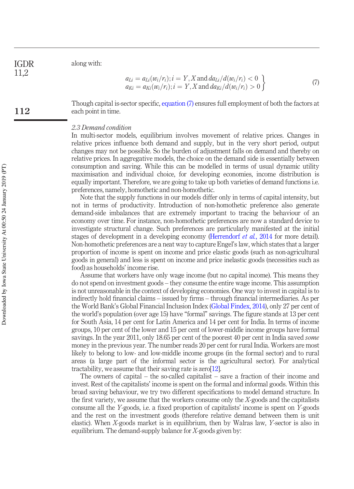along with:

$$
a_{Li} = a_{Li}(w_i/r_i); i = Y, X \text{ and } da_{Li}/d(w_i/r_i) < 0
$$
  
\n
$$
a_{Ki} = a_{Ki}(w_i/r_i); i = Y, X \text{ and } da_{Ki}/d(w_i/r_i) > 0
$$
\n(7)

Though capital is-sector specific, equation (7) ensures full employment of both the factors at each point in time.

#### *2.3 Demand condition*

In multi-sector models, equilibrium involves movement of relative prices. Changes in relative prices influence both demand and supply, but in the very short period, output changes may not be possible. So the burden of adjustment falls on demand and thereby on relative prices. In aggregative models, the choice on the demand side is essentially between consumption and saving. While this can be modelled in terms of usual dynamic utility maximisation and individual choice, for developing economies, income distribution is equally important. Therefore, we are going to take up both varieties of demand functions i.e. preferences, namely, homothetic and non-homothetic.

Note that the supply functions in our models differ only in terms of capital intensity, but not in terms of productivity. Introduction of non-homothetic preference also generate demand-side imbalances that are extremely important to tracing the behaviour of an economy over time. For instance, non-homothetic preferences are now a standard device to investigate structural change. Such preferences are particularly manifested at the initial stages of development in a developing economy (Herrendorf *et al.*, 2014 for more detail). Non-homothetic preferences are a neat way to capture Engel's law, which states that a larger proportion of income is spent on income and price elastic goods (such as non-agricultural goods in general) and less is spent on income and price inelastic goods (necessities such as food) as households' income rise.

Assume that workers have only wage income (but no capital income). This means they do not spend on investment goods – they consume the entire wage income. This assumption is not unreasonable in the context of developing economies. One way to invest in capital is to indirectly hold financial claims – issued by firms – through financial intermediaries. As per the World Bank's Global Financial Inclusion Index (Global Findex, 2014), only 27 per cent of the world's population (over age 15) have "formal" savings. The figure stands at 13 per cent for South Asia, 14 per cent for Latin America and 14 per cent for India. In terms of income groups, 10 per cent of the lower and 15 per cent of lower-middle income groups have formal savings. In the year 2011, only 18.65 per cent of the poorest 40 per cent in India saved *some* money in the previous year. The number reads 20 per cent for rural India. Workers are most likely to belong to low- and low-middle income groups (in the formal sector) and to rural areas (a large part of the informal sector is the agricultural sector). For analytical tractability, we assume that their saving rate is zero[12].

The owners of capital – the so-called capitalist – save a fraction of their income and invest. Rest of the capitalists' income is spent on the formal and informal goods. Within this broad saving behaviour, we try two different specifications to model demand structure. In the first variety, we assume that the workers consume only the *X*-goods and the capitalists consume all the *Y*-goods, i.e. a fixed proportion of capitalists' income is spent on *Y*-goods and the rest on the investment goods (therefore relative demand between them is unit elastic). When *X*-goods market is in equilibrium, then by Walras law, *Y*-sector is also in equilibrium. The demand-supply balance for *X*-goods given by:

IGDR 11,2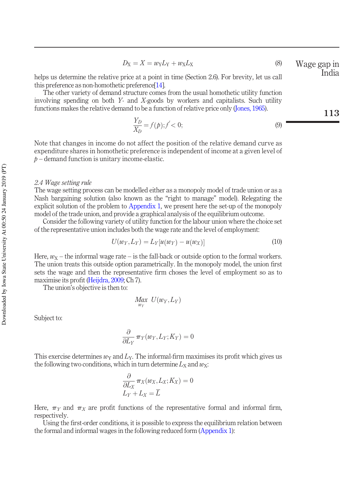$$
D_{\rm X} = X = w_{\rm Y} L_{\rm Y} + w_{\rm X} L_{\rm X} \tag{8}
$$

helps us determine the relative price at a point in time (Section 2.6). For brevity, let us call this preference as non-homothetic preference[14].

The other variety of demand structure comes from the usual homothetic utility function involving spending on both *Y*- and *X*-goods by workers and capitalists. Such utility functions makes the relative demand to be a function of relative price only (Jones, 1965).

$$
\frac{Y_D}{X_D} = f(p); f' < 0;\tag{9}
$$

Note that changes in income do not affect the position of the relative demand curve as expenditure shares in homothetic preference is independent of income at a given level of *p* – demand function is unitary income-elastic.

#### *2.4 Wage setting rule*

The wage setting process can be modelled either as a monopoly model of trade union or as a Nash bargaining solution (also known as the "right to manage" model). Relegating the explicit solution of the problem to Appendix 1, we present here the set-up of the monopoly model of the trade union, and provide a graphical analysis of the equilibrium outcome.

Consider the following variety of utility function for the labour union where the choice set of the representative union includes both the wage rate and the level of employment:

$$
U(w_Y, L_Y) = L_Y[u(w_Y) - u(w_X)]
$$
\n(10)

Here,  $w_x$  – the informal wage rate – is the fall-back or outside option to the formal workers. The union treats this outside option parametrically. In the monopoly model, the union first sets the wage and then the representative firm choses the level of employment so as to maximise its profit (Heijdra, 2009; Ch 7).

The union's objective is then to:

$$
\underset{w_Y}{Max} U(w_Y, L_Y)
$$

Subject to:

$$
\frac{\partial}{\partial L_Y} \pi_Y(w_Y, L_Y; K_Y) = 0
$$

This exercise determines  $w_Y$  and  $L_Y$ . The informal-firm maximises its profit which gives us the following two conditions, which in turn determine  $L_X$  and  $w_X$ :

$$
\frac{\partial}{\partial L_X} \pi_X(w_X, L_X; K_X) = 0
$$
  

$$
L_Y + L_X = \overline{L}
$$

Here,  $\pi$ <sub>*Y*</sub> and  $\pi$ <sub>*X*</sub> are profit functions of the representative formal and informal firm, respectively.

Using the first-order conditions, it is possible to express the equilibrium relation between the formal and informal wages in the following reduced form (Appendix 1):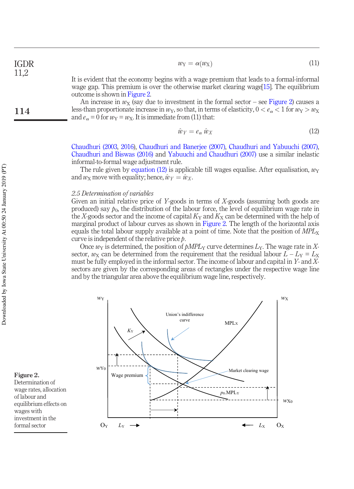| <b>IGDR</b><br>11,2 | $w_Y = \alpha(w_X)$                                                                                                                                                                                                                                                                               | (11) |
|---------------------|---------------------------------------------------------------------------------------------------------------------------------------------------------------------------------------------------------------------------------------------------------------------------------------------------|------|
|                     | It is evident that the economy begins with a wage premium that leads to a formal-informal<br>wage gap. This premium is over the otherwise market clearing wage [15]. The equilibrium<br>outcome is shown in Figure 2.                                                                             |      |
| 114                 | An increase in $wx$ (say due to investment in the formal sector – see Figure 2) causes a<br>less-than proportionate increase in $w_y$ , so that, in terms of elasticity, $0 < e_\alpha < 1$ for $w_y > w_x$<br>and $e_{\alpha} = 0$ for $w_{\rm Y} = w_{\rm X}$ . It is immediate from (11) that: |      |

$$
\hat{w}_Y = e_\alpha \ \hat{w}_X \tag{12}
$$

Chaudhuri (2003, 2016), Chaudhuri and Banerjee (2007), Chaudhuri and Yabuuchi (2007), Chaudhuri and Biswas (2016) and Yabuuchi and Chaudhuri (2007) use a similar inelastic informal-to-formal wage adjustment rule.

The rule given by equation (12) is applicable till wages equalise. After equalisation,  $w<sub>Y</sub>$ and  $w_X$  move with equality; hence,  $\hat{w}_Y = \hat{w}_X$ .

#### *2.5 Determination of variables*

Given an initial relative price of *Y*-goods in terms of *X*-goods (assuming both goods are produced) say  $p_0$ , the distribution of the labour force, the level of equilibrium wage rate in the *X*-goods sector and the income of capital  $K_Y$  and  $K_X$  can be determined with the help of marginal product of labour curves as shown in Figure 2. The length of the horizontal axis equals the total labour supply available at a point of time. Note that the position of  $MPL<sub>X</sub>$ curve is independent of the relative price *p*.

Once  $w_Y$  is determined, the position of  $pMPL_Y$  curve determines  $L_Y$ . The wage rate in Xsector,  $w_X$  can be determined from the requirement that the residual labour  $L - L_Y = L_X$ must be fully employed in the informal sector. The income of labour and capital in *Y*- and *X*sectors are given by the corresponding areas of rectangles under the respective wage line and by the triangular area above the equilibrium wage line, respectively.



Figure 2. Determination of wage rates, allocation of labour and equilibrium effects on wages with investment in the formal sector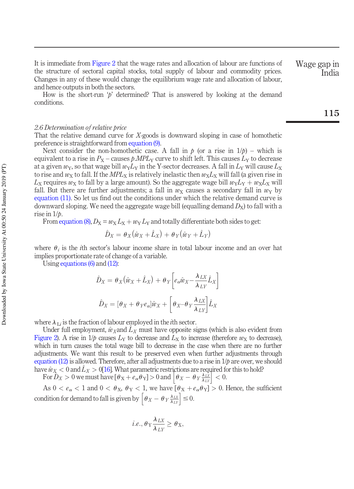It is immediate from Figure 2 that the wage rates and allocation of labour are functions of the structure of sectoral capital stocks, total supply of labour and commodity prices. Changes in any of these would change the equilibrium wage rate and allocation of labour, and hence outputs in both the sectors.

How is the short-run '*p*' determined? That is answered by looking at the demand conditions.

#### *2.6 Determination of relative price*

That the relative demand curve for *X*-goods is downward sloping in case of homothetic preference is straightforward from equation (9).

Next consider the non-homothetic case. A fall in  $p$  (or a rise in  $1/p$ ) – which is equivalent to a rise in  $P_X$  – causes  $p.MPL_Y$  curve to shift left. This causes  $L_Y$  to decrease at a given  $w_Y$ , so that wage bill  $w_Y L_Y$  in the Y-sector decreases. A fall in  $L_Y$  will cause  $L_X$ to rise and  $w<sub>X</sub>$  to fall. If the  $MPL<sub>X</sub>$  is relatively inelastic then  $w<sub>X</sub>L<sub>X</sub>$  will fall (a given rise in  $L_X$  requires  $w_X$  to fall by a large amount). So the aggregate wage bill  $w_Y L_Y + w_X L_X$  will fall. But there are further adjustments; a fall in  $w<sub>X</sub>$  causes a secondary fall in  $w<sub>Y</sub>$  by equation (11). So let us find out the conditions under which the relative demand curve is downward sloping. We need the aggregate wage bill (equalling demand  $D<sub>X</sub>$ ) to fall with a rise in 1/*p*.

From equation (8),  $D_X = w_X L_X + w_Y L_Y$  and totally differentiate both sides to get:

$$
\hat{D}_X = \theta_X(\hat{w}_X + \hat{L}_X) + \theta_Y(\hat{w}_Y + \hat{L}_Y)
$$

where  $\theta_i$  is the *i*th sector's labour income share in total labour income and an over hat implies proportionate rate of change of a variable.

Using equations (6) and (12):

$$
\hat{D}_X = \theta_X (\hat{w}_X + \hat{L}_X) + \theta_Y \left[ e_\alpha \hat{w}_X - \frac{\lambda_{LX}}{\lambda_{LY}} \hat{L}_X \right]
$$

$$
\hat{D}_X = [\theta_X + \theta_Y e_\alpha] \hat{w}_X + \left[ \theta_X - \theta_Y \frac{\lambda_{LX}}{\lambda_{LY}} \right] \hat{L}_X
$$

where  $\lambda_{Li}$  is the fraction of labour employed in the *i*th sector.

Under full employment,  $\hat{w}_x$ and  $L_x$  must have opposite signs (which is also evident from Figure 2). A rise in  $1/p$  causes  $L_Y$  to decrease and  $L_X$  to increase (therefore  $w_X$  to decrease), which in turn causes the total wage bill to decrease in the case when there are no further adjustments. We want this result to be preserved even when further adjustments through equation (12) is allowed. Therefore, after all adjustments due to a rise in 1/*p* are over, we should have  $\hat{w}_X$  < 0 and  $\hat{L}_X$  > 0[16]. What parametric restrictions are required for this to hold?

For  $\hat{D}_X > 0$  we must have  $[\theta_X + e_\alpha \theta_Y] > 0$  and  $[\theta_X - \theta_Y \frac{\lambda_{LX}}{\lambda_{LY}}] < 0$ .

As  $0 < e_\alpha < 1$  and  $0 < \theta_X$ ,  $\theta_Y < 1$ , we have  $[\theta_X + e_\alpha \theta_Y] > 0$ . Hence, the sufficient condition for demand to fall is given by  $\left[\theta_X - \theta_Y \frac{\lambda_{LX}}{\lambda_{LY}}\right] \leq 0.$ 

$$
i.e., \theta_{Y} \frac{\lambda_{LX}}{\lambda_{LY}} \geq \theta_{X},
$$

India

Wage gap in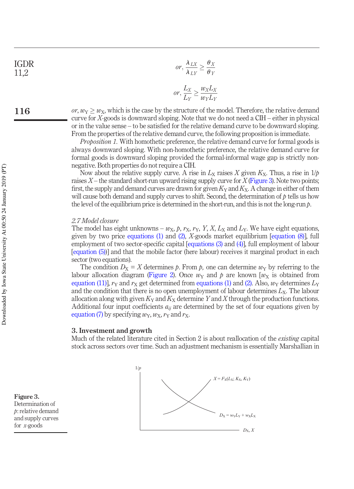$$
\begin{array}{c}\n\text{IGDR} \\
11.9\n\end{array}
$$

11,2

116

$$
or, \frac{\lambda_{LX}}{\lambda_{LY}} \ge \frac{\theta_X}{\theta_Y}
$$

$$
or, \frac{L_X}{L_Y} \ge \frac{w_X L_X}{w_Y L_Y}
$$

 $or, w_{\rm Y} \geq w_{\rm X}$ , which is the case by the structure of the model. Therefore, the relative demand curve for *X*-goods is downward sloping. Note that we do not need a CIH – either in physical or in the value sense – to be satisfied for the relative demand curve to be downward sloping. From the properties of the relative demand curve, the following proposition is immediate.

*Proposition 1.* With homothetic preference, the relative demand curve for formal goods is always downward sloping. With non-homothetic preference, the relative demand curve for formal goods is downward sloping provided the formal-informal wage gap is strictly nonnegative. Both properties do not require a CIH.

Now about the relative supply curve. A rise in  $L_X$  raises X given  $K_X$ . Thus, a rise in  $1/p$ raises  $X$  – the standard short-run upward rising supply curve for  $X$  (Figure 3). Note two points; first, the supply and demand curves are drawn for given  $K_Y$  and  $K_X$ . A change in either of them will cause both demand and supply curves to shift. Second, the determination of *p* tells us how the level of the equilibrium price is determined in the short-run, and this is not the long-run *p*.

#### *2.7 Model closure*

The model has eight unknowns –  $w_x$ ,  $p$ ,  $r_x$ ,  $r_y$ ,  $Y$ ,  $X$ ,  $L_x$  and  $L_y$ . We have eight equations, given by two price equations (1) and (2), *X*-goods market equilibrium [equation (8)], full employment of two sector-specific capital [equations (3) and (4)], full employment of labour [equation (5))] and that the mobile factor (here labour) receives it marginal product in each sector (two equations).

The condition  $D_X = X$  determines p. From p, one can determine  $w_Y$  by referring to the labour allocation diagram (Figure 2). Once  $w_Y$  and p are known  $[w_X]$  is obtained from equation (11)],  $r<sub>N</sub>$  and  $r<sub>X</sub>$  get determined from equations (1) and (2). Also,  $w<sub>Y</sub>$  determines  $L<sub>Y</sub>$ and the condition that there is no open unemployment of labour determines  $L<sub>X</sub>$ . The labour allocation along with given  $K_Y$  and  $K_X$  determine Y and X through the production functions. Additional four input coefficients  $a_{ii}$  are determined by the set of four equations given by equation (7) by specifying  $w_Y$ ,  $w_X$ ,  $r_Y$  and  $r_X$ .

#### 3. Investment and growth

Much of the related literature cited in Section 2 is about reallocation of the *existing* capital stock across sectors over time. Such an adjustment mechanism is essentially Marshallian in

Figure 3. Determination of *p*: relative demand and supply curves for *x*-goods

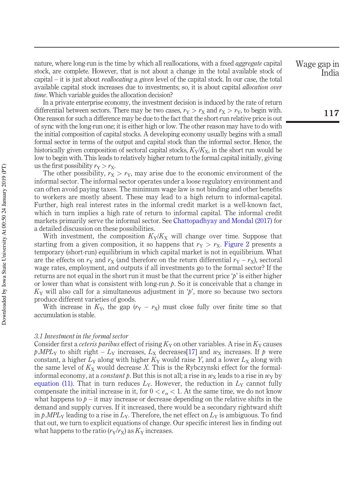nature, where long-run is the time by which all reallocations, with a fixed *aggregate* capital stock, are complete. However, that is not about a change in the total available stock of capital – it is just about *reallocating* a *given* level of the capital stock. In our case, the total available capital stock increases due to investments; so, it is about capital *allocation over time*. Which variable guides the allocation decision?

In a private enterprise economy, the investment decision is induced by the rate of return differential between sectors. There may be two cases,  $r_Y > r_X$  and  $r_X > r_Y$ , to begin with. One reason for such a difference may be due to the fact that the short-run relative price is out of sync with the long-run one; it is either high or low. The other reason may have to do with the initial composition of capital stocks. A developing economy usually begins with a small formal sector in terms of the output and capital stock than the informal sector. Hence, the historically given composition of sectoral capital stocks,  $K_Y/K_X$ , in the short run would be low to begin with. This leads to relatively higher return to the formal capital initially, giving us the first possibility  $r_{\rm Y} > r_{\rm X}$ .

The other possibility,  $r_{\rm X} > r_{\rm Y}$ , may arise due to the economic environment of the informal sector. The informal sector operates under a loose regulatory environment and can often avoid paying taxes. The minimum wage law is not binding and other benefits to workers are mostly absent. These may lead to a high return to informal-capital. Further, high real interest rates in the informal credit market is a well-known fact, which in turn implies a high rate of return to informal capital. The informal credit markets primarily serve the informal sector. See Chattopadhyay and Mondal (2017) for a detailed discussion on these possibilities.

With investment, the composition  $K_Y/K_X$  will change over time. Suppose that starting from a given composition, it so happens that  $r_Y > r_X$ . Figure 2 presents a temporary (short-run) equilibrium in which capital market is not in equilibrium. What are the effects on  $r<sub>X</sub>$  and  $r<sub>X</sub>$  (and therefore on the return differential  $r<sub>Y</sub> - r<sub>X</sub>$ ), sectoral wage rates, employment, and outputs if all investments go to the formal sector? If the returns are not equal in the short run it must be that the current price '*p*' is either higher or lower than what is consistent with long-run *p*. So it is conceivable that a change in  $K_Y$  will also call for a simultaneous adjustment in '*p*', more so because two sectors produce different varieties of goods.

With increase in  $K_Y$ , the gap  $(r_Y - r_X)$  must close fully over finite time so that accumulation is stable.

#### *3.1 Investment in the formal sector*

Consider first a *ceteris paribus* effect of rising  $K_Y$  on other variables. A rise in  $K_Y$  causes  $p.MPL<sub>X</sub>$  to shift right –  $L<sub>Y</sub>$  increases,  $L<sub>X</sub>$  decreases[17] and  $w<sub>X</sub>$  increases. If  $p$  were constant, a higher  $L_Y$  along with higher  $K_Y$  would raise Y, and a lower  $L_X$  along with the same level of  $K_X$  would decrease X. This is the Rybczynski effect for the formalinformal economy, at a *constant p*. But this is not all; a rise in  $w<sub>X</sub>$  leads to a rise in  $w<sub>Y</sub>$  by equation (11). That in turn reduces  $L_Y$ . However, the reduction in  $L_Y$  cannot fully compensate the initial increase in it, for  $0 < e_\alpha < 1$ . At the same time, we do not know what happens to  $p - i$  t may increase or decrease depending on the relative shifts in the demand and supply curves. If it increased, there would be a secondary rightward shift in  $p.MPL<sub>Y</sub>$  leading to a rise in  $L<sub>Y</sub>$ . Therefore, the net effect on  $L<sub>Y</sub>$  is ambiguous. To find that out, we turn to explicit equations of change. Our specific interest lies in finding out what happens to the ratio  $(r_Y/r_X)$  as  $K_Y$  increases.

Wage gap in India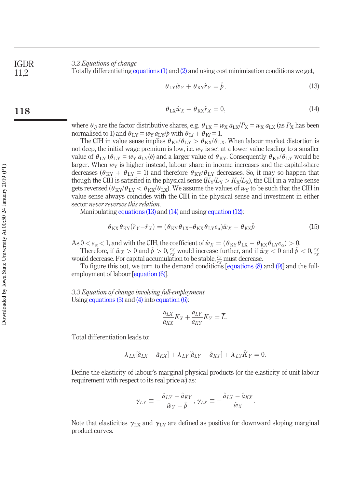#### *3.2 Equations of change*

Totally differentiating equations (1) and (2) and using cost minimisation conditions we get,

$$
\theta_{\rm LY}\hat{w}_Y + \theta_{\rm KY}\hat{r}_Y = \hat{p},\tag{13}
$$

### $\theta_{\text{IX}}\hat{w}_{\text{X}} + \theta_{\text{K}\text{X}}\hat{r}_{\text{X}} = 0,$  (14)

where  $\theta_{ij}$  are the factor distributive shares, e.g.  $\theta_{\text{L}X} = w_X a_{\text{L}X}/P_X = w_X a_{\text{L}X}$  (as  $P_X$  has been normalised to 1) and  $\theta_{LY} = w_Y a_{LY}/p$  with  $\theta_{Li} + \theta_{Ki} = 1$ .

The CIH in value sense implies  $\theta_{\rm KY}/\theta_{\rm LY} > \theta_{\rm KX}/\theta_{\rm LX}$ . When labour market distortion is not deep, the initial wage premium is low, i.e.  $w<sub>Y</sub>$  is set at a lower value leading to a smaller value of  $\theta_{LY}$  ( $\theta_{LY} = w_Y a_L y/\rho$ ) and a larger value of  $\theta_{KY}$ . Consequently  $\theta_{KY}/\theta_{LY}$  would be larger. When  $w<sub>Y</sub>$  is higher instead, labour share in income increases and the capital-share decreases ( $\theta_{\text{KY}} + \theta_{\text{LY}} = 1$ ) and therefore  $\theta_{\text{KY}}/\theta_{\text{LY}}$  decreases. So, it may so happen that though the CIH is satisfied in the physical sense  $(K_Y/L_Y > K_X/L_X)$ , the CIH in a value sense gets reversed ( $\theta_{\text{KY}}/\theta_{\text{LY}} < \theta_{\text{RX}}/\theta_{\text{LX}}$ ). We assume the values of  $w_{\text{Y}}$  to be such that the CIH in value sense always coincides with the CIH in the physical sense and investment in either sector *never reverses this relation*.

Manipulating equations (13) and (14) and using equation (12):

$$
\theta_{\rm KX}\theta_{\rm KY}(\hat{r}_Y-\hat{r}_X)=(\theta_{\rm KY}\theta_{\rm LX}-\theta_{\rm KX}\theta_{\rm LY}\hat{e}_\alpha)\hat{w}_X+\theta_{\rm KX}\hat{p}
$$
\n(15)

As  $0 < e_\alpha < 1$ , and with the CIH, the coefficient of  $\hat{w}_X = (\theta_{\text{KY}} \theta_{\text{LX}} - \theta_{\text{KN}} \theta_{\text{LY}} e_\alpha) > 0.$ 

Therefore, if  $\hat{w}_X > 0$  and  $\hat{p} > 0$ ,  $\frac{r_Y}{r_X}$  would increase further, and if  $\hat{w}_X < 0$  and  $\hat{p} < 0$ ,  $\frac{r_Y}{r_X}$ would decrease. For capital accumulation to be stable,  $\frac{r_Y}{r_Y}$  must decrease.

To figure this out, we turn to the demand conditions [equations  $(8)$  and  $(9)$ ] and the fullemployment of labour [equation (6)].

*3.3 Equation of change involving full-employment* Using equations  $(3)$  and  $(4)$  into equation  $(6)$ :

$$
\frac{a_{LX}}{a_{KX}}K_X + \frac{a_{LY}}{a_{KY}}K_Y = \overline{L}.
$$

Total differentiation leads to:

$$
\lambda_{LX}[\hat{a}_{LX} - \hat{a}_{KX}] + \lambda_{LY}[\hat{a}_{LY} - \hat{a}_{KY}] + \lambda_{LY}\hat{K}_Y = 0.
$$

Define the elasticity of labour's marginal physical products (or the elasticity of unit labour requirement with respect to its real price *w*) as:

$$
\gamma_{LY} \equiv -\frac{\hat{a}_{LY} - \hat{a}_{KY}}{\hat{w}_Y - \hat{p}}; \, \gamma_{LX} \equiv -\frac{\hat{a}_{LX} - \hat{a}_{XX}}{\hat{w}_X}.
$$

Note that elasticities  $\gamma_{\rm LX}$  and  $\gamma_{\rm LY}$  are defined as positive for downward sloping marginal product curves.

IGDR 11,2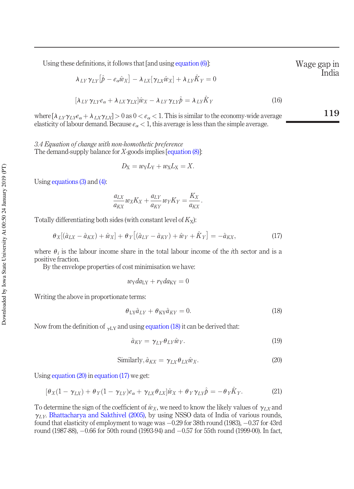Using these definitions, it follows that [and using equation (6)]:

$$
\lambda_{LY}\gamma_{LY}[\hat{p} - e_{\alpha}\hat{w}_X] - \lambda_{LX}[\gamma_{LX}\hat{w}_X] + \lambda_{LY}\hat{K}_Y = 0
$$

$$
[\lambda_{LY}\gamma_{LY}e_{\alpha} + \lambda_{LX}\gamma_{LX}]\hat{w}_X - \lambda_{LY}\gamma_{LY}\hat{p} = \lambda_{LY}\hat{K}_Y
$$
\n(16)

where  $[\lambda_{LY}\gamma_{LY}e_\alpha+\lambda_{LX}\gamma_{LX}]>0$  as  $0< e_\alpha<1$ . This is similar to the economy-wide average elasticity of labour demand. Because  $e_{\alpha} < 1$ , this average is less than the simple average.

*3.4 Equation of change with non-homothetic preference* The demand-supply balance for *X*-goods implies [equation (8)]:

$$
D_{\mathbf{X}} = w_{\mathbf{Y}} L_{\mathbf{Y}} + w_{\mathbf{X}} L_{\mathbf{X}} = X.
$$

Using equations (3) and (4):

$$
\frac{a_{LX}}{a_{KX}} w_X K_X + \frac{a_{LY}}{a_{KY}} w_Y K_Y = \frac{K_X}{a_{KX}}.
$$

Totally differentiating both sides (with constant level of  $K_X$ ):

$$
\theta_X[(\hat{a}_{LX} - \hat{a}_{KX}) + \hat{w}_X] + \theta_Y[(\hat{a}_{LY} - \hat{a}_{KY}) + \hat{w}_Y + \hat{K}_Y] = -\hat{a}_{KX},\tag{17}
$$

where  $\theta_i$  is the labour income share in the total labour income of the *i*th sector and is a positive fraction.

By the envelope properties of cost minimisation we have:

$$
w_{\rm Y} da_{\rm LY} + r_{\rm Y} da_{\rm KY} = 0
$$

Writing the above in proportionate terms:

$$
\theta_{\text{LY}}\hat{a}_{\text{LY}} + \theta_{\text{KY}}\hat{a}_{\text{KY}} = 0. \tag{18}
$$

Now from the definition of  $_{\gamma LY}$  and using equation (18) it can be derived that:

$$
\hat{a}_{KY} = \gamma_{LY} \theta_{LY} \hat{w}_Y. \tag{19}
$$

Similarly, 
$$
\hat{a}_{KX} = \gamma_{LX} \theta_{LX} \hat{w}_X
$$
. (20)

Using equation (20) in equation (17) we get:

$$
[\theta_X(1-\gamma_{LX})+\theta_Y(1-\gamma_{LY})e_\alpha+\gamma_{LX}\theta_{LX}]\hat{w}_X+\theta_Y\gamma_{LY}\hat{p}=-\theta_Y\hat{K}_Y.
$$
 (21)

To determine the sign of the coefficient of  $\hat{w}_X$ , we need to know the likely values of  $\gamma_{LX}$  and  $\gamma_{LY}$ . Bhattacharya and Sakthivel (2005), by using NSSO data of India of various rounds, found that elasticity of employment to wage was -0.29 for 38th round (1983), -0.37 for 43rd round (1987-88), -0.66 for 50th round (1993-94) and -0.57 for 55th round (1999-00). In fact,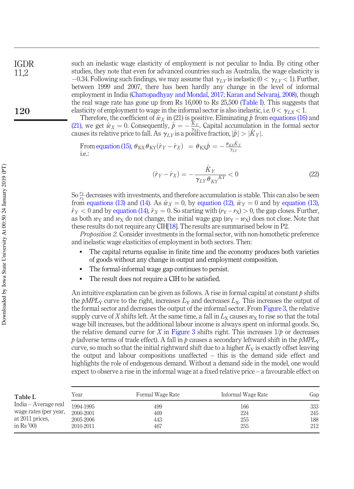IGDR 11,2

120

such an inelastic wage elasticity of employment is not peculiar to India. By citing other studies, they note that even for advanced countries such as Australia, the wage elasticity is  $-0.34$ . Following such findings, we may assume that  $\gamma_{LY}$  is inelastic ( $0 < \gamma_{LY} < 1$ ). Further, between 1999 and 2007, there has been hardly any change in the level of informal employment in India (Chattopadhyay and Mondal, 2017; Karan and Selvaraj, 2008), though the real wage rate has gone up from Rs 16,000 to Rs 25,500 (Table I). This suggests that elasticity of employment to wage in the informal sector is also inelastic, i.e.  $0 < \gamma_{LX} < 1$ .

Therefore, the coefficient of  $\hat{w}_X$  in (21) is positive. Eliminating  $\hat{p}$  from equations (16) and (21), we get  $\hat{w}_X = 0$ . Consequently,  $\hat{p} = -\frac{\hat{K}_Y}{\gamma_H}$ . Capital accumulation in the formal sector causes its relative price to fall. As  $\gamma_{LY}$  is a positive fraction,  $|\hat{p}| > |\hat{K}_Y|$ .

From equation (15),  $\theta_{\text{KX}}\theta_{\text{KY}}(\hat{r}_Y - \hat{r}_X) = \theta_{\text{KX}}\hat{p} = -\frac{\theta_{\text{KX}}\hat{K}_Y}{\gamma_{LY}}$ i.e.:

$$
(\hat{r}_Y - \hat{r}_X) = -\frac{\hat{K}_Y}{\gamma_{LY}\theta_{KY}^{KY}} < 0\tag{22}
$$

So  $\frac{r_Y}{r_X}$  decreases with investments, and therefore accumulation is stable. This can also be seen from equations (13) and (14). As  $\hat{w}_X = 0$ , by equation (12),  $\hat{w}_Y = 0$  and by equation (13),  $\hat{r}_Y < 0$  and by equation (14),  $\hat{r}_X = 0$ . So starting with  $(r_Y - r_X) > 0$ , the gap closes. Further, as both  $w_Y$  and  $w_X$  do not change, the initial wage gap  $(w_Y - w_X)$  does not close. Note that these results do not require any CIH[18]. The results are summarised below in P2.

*Proposition 2.* Consider investments in the formal sector, with non-homothetic preference and inelastic wage elasticities of employment in both sectors. Then:

- The capital returns equalise in finite time and the economy produces both varieties of goods without any change in output and employment composition.
- The formal-informal wage gap continues to persist.
- The result does not require a CIH to be satisfied.

An intuitive explanation can be given as follows. A rise in formal capital at constant *p* shifts the  $pMPL<sub>Y</sub>$  curve to the right, increases  $L<sub>Y</sub>$  and decreases  $L<sub>X</sub>$ . This increases the output of the formal sector and decreases the output of the informal sector. From Figure 3, the relative supply curve of X shifts left. At the same time, a fall in  $L_X$  causes  $w_X$  to rise so that the total wage bill increases, but the additional labour income is always spent on informal goods. So, the relative demand curve for *X* in Figure 3 shifts right. This increases  $1/p$  or decreases  $p$  (adverse terms of trade effect). A fall in  $p$  causes a secondary leftward shift in the  $pMPL<sub>Y</sub>$ curve, so much so that the initial rightward shift due to a higher  $K_Y$  is exactly offset leaving the output and labour compositions unaffected – this is the demand side effect and highlights the role of endogenous demand. Without a demand side in the model, one would expect to observe a rise in the informal wage at a fixed relative price – a favourable effect on

| Table I.              | Year      | Formal Wage Rate | Informal Wage Rate | Gap |
|-----------------------|-----------|------------------|--------------------|-----|
| India – Average real  | 1994-1995 | 499              | 166                | 333 |
| wage rates (per year, | 2000-2001 | 469              | 224                | 245 |
| at 2011 prices.       | 2005-2006 | 443              | 255                | 188 |
| in $\text{Rs } 00$    | 2010-2011 | 467              | 255                | 212 |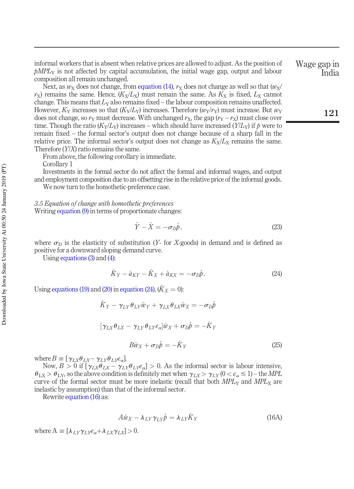informal workers that is absent when relative prices are allowed to adjust. As the position of  $pMPL<sub>Y</sub>$  is not affected by capital accumulation, the initial wage gap, output and labour composition all remain unchanged.

Next, as  $w_X$  does not change, from equation (14),  $r_X$  does not change as well so that  $(w_X/$  $r_X$ ) remains the same. Hence,  $(K_X/L_X)$  must remain the same. As  $K_X$  is fixed,  $L_X$  cannot change. This means that  $L<sub>y</sub>$  also remains fixed – the labour composition remains unaffected. However,  $K_Y$  increases so that  $(K_Y/L_Y)$  increases. Therefore  $(w_Y/r_Y)$  must increase. But  $w_Y$ does not change, so  $r_Y$  must decrease. With unchanged  $r_X$ , the gap  $(r_Y - r_X)$  must close over time. Though the ratio  $(K_Y/L_Y)$  increases – which should have increased  $(Y/L_Y)$  if p were to remain fixed – the formal sector's output does not change because of a sharp fall in the relative price. The informal sector's output does not change as  $K_X/L_X$  remains the same. Therefore (*Y*/*X*) ratio remains the same.

From above, the following corollary is immediate.

Corollary 1

Investments in the formal sector do not affect the formal and informal wages, and output and employment composition due to an offsetting rise in the relative price of the informal goods.

We now turn to the homothetic-preference case.

*3.5 Equation of change with homothetic preferences* Writing equation (9) in terms of proportionate changes:

$$
\hat{Y} - \hat{X} = -\sigma_D \hat{p},\tag{23}
$$

where  $\sigma_{\rm D}$  is the elasticity of substitution (*Y*- for *X*-goods) in demand and is defined as positive for a downward sloping demand curve.

Using equations (3) and (4):

$$
\hat{K}_Y - \hat{a}_{KY} - \hat{K}_X + \hat{a}_{KX} = -\sigma_D \hat{p}.
$$
\n(24)

Using equations (19) and (20) in equation (24), ( $\hat{K}_X = 0$ ):

$$
\hat{K}_Y - \gamma_{LY}\theta_{LY}\hat{w}_Y + \gamma_{LX}\theta_{LX}\hat{w}_X = -\sigma_D\hat{p}
$$
  

$$
[\gamma_{LX}\theta_{LX} - \gamma_{LY}\theta_{LY}e_{\alpha}]\hat{w}_X + \sigma_D\hat{p} = -\hat{K}_Y
$$
  

$$
B\hat{w}_X + \sigma_D\hat{p} = -\hat{K}_Y
$$
 (25)

where  $B \equiv [\gamma_{LX}\theta_{LX} - \gamma_{LY}\theta_{LY}e_{\alpha}].$ 

Now,  $B > 0$  if  $[\gamma_{LX}\theta_{LX} - \gamma_{LY}\theta_{LY}e_{\alpha}] > 0$ . As the informal sector is labour intensive,  $\theta_{\rm LX} > \theta_{\rm LY}$ , so the above condition is definitely met when  $\gamma_{\rm LX} > \gamma_{\rm LY} (0 < e_\alpha \leq 1)$  – the *MPL* curve of the formal sector must be more inelastic (recall that both  $MPL<sub>Y</sub>$  and  $MPL<sub>X</sub>$  are inelastic by assumption) than that of the informal sector.

Rewrite equation (16) as:

$$
A\hat{w}_X - \lambda_{LY}\gamma_{LY}\hat{p} = \lambda_{LY}\hat{K}_Y
$$
\n(16A)

where  $A = [\lambda_I y \gamma_I y e_\alpha + \lambda_I y \gamma_I y] > 0.$ 

Downloaded by Iowa State University At 00:50 24 January 2019 (PT) Downloaded by Iowa State University At 00:50 24 January 2019 (PT)

### Wage gap in India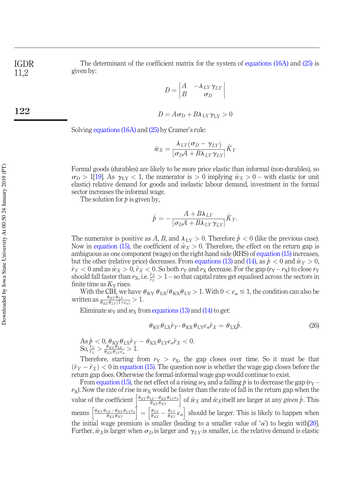The determinant of the coefficient matrix for the system of equations (16A) and (25) is given by:

$$
D = \begin{vmatrix} A & -\lambda_{LY} \gamma_{LY} \\ B & \sigma_D \end{vmatrix}
$$

 $D = A\sigma_{\rm D} + B\lambda_{\rm I}y\gamma_{\rm IV} > 0$ 

Solving equations (16A) and (25) by Cramer's rule:

$$
\hat{w}_X = \frac{\lambda_{LY}(\sigma_D - \gamma_{LY})}{[\sigma_D A + B\lambda_{LY}\gamma_{LY}]} \hat{K}_Y
$$

Formal goods (durables) are likely to be more price elastic than informal (non-durables), so  $\sigma_{\rm D} > 1$ [19]. As  $\gamma_{\rm LV} < 1$ , the numerator is  $> 0$  implying  $\hat{w}_{\rm X} > 0$  – with elastic (or unit elastic) relative demand for goods and inelastic labour demand, investment in the formal sector increases the informal wage.

The solution for  $p$  is given by,

$$
\hat{p} = -\frac{A + B\lambda_{LY}}{[\sigma_D A + B\lambda_{LY}\gamma_{LY}]} \hat{K}_Y.
$$

The numerator is positive as *A*, *B*, and  $\lambda_{1,Y} > 0$ . Therefore  $\hat{p} < 0$  (like the previous case). Now in equation (15), the coefficient of  $\hat{w}_X > 0$ . Therefore, the effect on the return gap is ambiguous as one component (wage) on the right-hand side (RHS) of equation (15) increases, but the other (relative price) decreases. From equations (13) and (14), as  $\hat{p} < 0$  and  $\hat{w}_Y > 0$ ,  $\hat{r}_Y$  < 0 and as  $\hat{w}_X > 0$ ,  $\hat{r}_X$  < 0. So both  $r_Y$  and  $r_X$  decrease. For the gap ( $r_Y - r_X$ ) to close  $r_Y$ should fall faster than  $r_X$ , i.e.  $\frac{\hat{r}_X}{\hat{r}_Y} > 1$  – so that capital rates get equalised across the sectors in finite time as  $K_Y$  rises.

With the CIH, we have  $\theta_{KY}$   $\theta_{LX}/\theta_{KX}\theta_{LY} > 1$ . With  $0 < e_\alpha \leq 1$ , the condition can also be written as  $\frac{\theta_{KY}\theta_{LX}}{\theta_{KN}\theta_{LY}(1+e_\alpha)} > 1$ .

Eliminate  $w_Y$  and  $w_X$  from equations (13) and (14) to get:

$$
\theta_{\rm KY} \theta_{\rm LX} \hat{r}_{\rm Y} - \theta_{\rm KX} \theta_{\rm LY} e_{\alpha} \hat{r}_{\rm X} = \theta_{\rm LX} \hat{p}.
$$
 (26)

As 
$$
\hat{p} < 0
$$
,  $\theta_{\text{KY}} \theta_{\text{LY}} \hat{r}_Y - \theta_{\text{KN}} \theta_{\text{LY}} e_{\alpha} \hat{r}_X < 0$ .  
So,  $\frac{\hat{r}_X}{\hat{r}_Y} > \frac{\theta_{\text{KY}} \theta_{\text{LY}}}{\theta_{\text{KN}} \theta_{\text{LY}} e_{\alpha}} > 1$ .

Therefore, starting from  $r_Y > r_X$ , the gap closes over time. So it must be that  $(\hat{r}_Y - \hat{r}_X)$  < 0 in equation (15). The question now is whether the wage gap closes before the return gap does. Otherwise the formal-informal wage gap would continue to exist.

From equation (15), the net effect of a rising  $w<sub>X</sub>$  and a falling p is to decrease the gap ( $r<sub>Y</sub>$  –  $r<sub>X</sub>$ ). Now the rate of rise in  $w<sub>X</sub>$  would be faster than the rate of fall in the return gap when the value of the coefficient  $\left[\frac{\theta_{KY}\theta_{LX} - \theta_{KX}\theta_{LY}e_{\alpha}}{\theta_{KX}\theta_{KY}}\right]$  of  $\hat{w}_X$  and  $\hat{w}_X$ itself are larger at any *given*  $\hat{p}$ . This means  $\left[\frac{\theta_{KY}\theta_{LY}\theta_{LY}\theta_{kX}}{\theta_{KN}\theta_{KY}}\right] = \left[\frac{\theta_{LY}}{\theta_{KN}} - \frac{\theta_{LY}}{\theta_{KY}}\theta_{\alpha}\right]$  should be larger. This is likely to happen when the initial wage premium is smaller (leading to a smaller value of ' $\alpha$ ') to begin with[20]. Further,  $\hat{w}_X$  is larger when  $\sigma_D$  is larger and  $\gamma_L$  is smaller, i.e. the relative demand is elastic

IGDR 11,2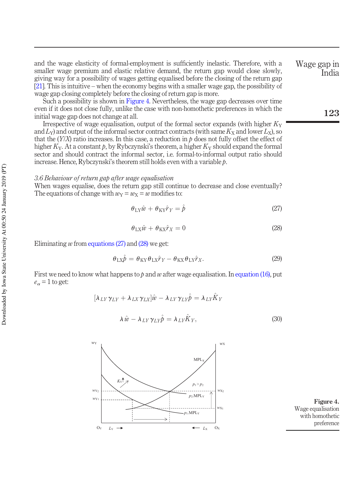and the wage elasticity of formal-employment is sufficiently inelastic. Therefore, with a smaller wage premium and elastic relative demand, the return gap would close slowly, giving way for a possibility of wages getting equalised before the closing of the return gap [21]. This is intuitive – when the economy begins with a smaller wage gap, the possibility of wage gap closing completely before the closing of return gap is more.

Such a possibility is shown in Figure 4. Nevertheless, the wage gap decreases over time even if it does not close fully, unlike the case with non-homothetic preferences in which the initial wage gap does not change at all.

Irrespective of wage equalisation, output of the formal sector expands (with higher  $K_Y$ and  $L_Y$ ) and output of the informal sector contract contracts (with same  $K_X$  and lower  $L_X$ ), so that the  $(Y/X)$  ratio increases. In this case, a reduction in  $p$  does not fully offset the effect of higher  $K_Y$ . At a constant  $p$ , by Rybczynski's theorem, a higher  $K_Y$  should expand the formal sector and should contract the informal sector, i.e. formal-to-informal output ratio should increase. Hence, Rybczynski's theorem still holds even with a variable *p*.

#### *3.6 Behaviour of return gap after wage equalisation*

When wages equalise, does the return gap still continue to decrease and close eventually? The equations of change with  $w_Y = w_X = w$  modifies to:

$$
\theta_{\rm LV}\hat{w} + \theta_{\rm KV}\hat{r}_Y = \hat{p}
$$
\n(27)

$$
\theta_{\rm LX}\hat{w} + \theta_{\rm KX}\hat{r}_X = 0\tag{28}
$$

Eliminating  $w$  from equations  $(27)$  and  $(28)$  we get:

$$
\theta_{\rm LX}\hat{p} = \theta_{\rm KY}\theta_{\rm LX}\hat{r}_Y - \theta_{\rm RX}\theta_{\rm LY}\hat{r}_X. \tag{29}
$$

First we need to know what happens to *p* and *w* after wage equalisation. In equation (16), put  $e_{\alpha}$  = 1 to get:

$$
[\lambda_{LY}\gamma_{LY} + \lambda_{LX}\gamma_{LX}]\hat{w} - \lambda_{LY}\gamma_{LY}\hat{p} = \lambda_{LY}\hat{K}_Y
$$

$$
\lambda \hat{w} - \lambda_{LY}\gamma_{LY}\hat{p} = \lambda_{LY}\hat{K}_Y,
$$
(30)





Wage gap in India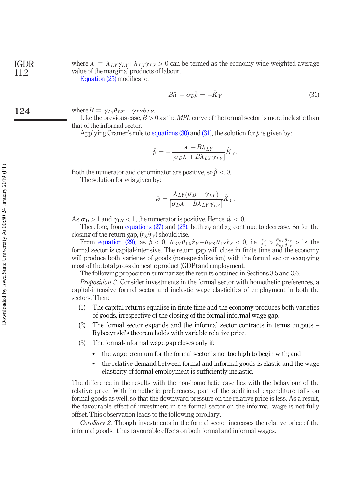IGDR 11,2

124

where  $\lambda = \lambda_{LY}\gamma_{LY} + \lambda_{LX}\gamma_{LX} > 0$  can be termed as the economy-wide weighted average value of the marginal products of labour.

Equation (25) modifies to:

$$
B\hat{w} + \sigma_D \hat{p} = -\hat{K}_Y \tag{31}
$$

where  $B \equiv \gamma_{Lx} \theta_{Lx} - \gamma_{LY} \theta_{LY}$ .

Like the previous case,  $B > 0$  as the  $MPL$  curve of the formal sector is more inelastic than that of the informal sector.

Applying Cramer's rule to equations (30) and (31), the solution for *p* is given by:

$$
\hat{p} = -\frac{\lambda + B\lambda_{LY}}{[\sigma_D \lambda + B\lambda_{LY}\gamma_{LY}]} \hat{K}_Y.
$$

Both the numerator and denominator are positive, so  $\hat{p} < 0$ .

The solution for *w* is given by:

$$
\hat{w} = \frac{\lambda_{LY}(\sigma_D - \gamma_{LY})}{[\sigma_D \lambda + B\lambda_{LY}\gamma_{LY}]} \hat{K}_Y.
$$

As  $\sigma_{\rm D} > 1$  and  $\gamma_{\rm LV} < 1$ , the numerator is positive. Hence,  $\hat{w} < 0$ .

Therefore, from equations (27) and (28), both  $r<sub>y</sub>$  and  $r<sub>x</sub>$  continue to decrease. So for the closing of the return gap,  $(r_X/r_Y)$  should rise.

From equation (29), as  $\hat{p} < 0$ ,  $\theta_{KY}\theta_{LX}\hat{r}_Y-\theta_{KX}\theta_{LY}\hat{r}_X < 0$ , i.e.  $\frac{\hat{r}_X}{\hat{r}_Y} > \frac{\theta_{KY}\theta_{LY}}{\theta_{KY}\theta_{LY}} > 1$ s the formal sector is capital-intensive. The return gap will close in finite time and the economy will produce both varieties of goods (non-specialisation) with the formal sector occupying most of the total gross domestic product (GDP) and employment.

The following proposition summarizes the results obtained in Sections 3.5 and 3.6.

*Proposition 3.* Consider investments in the formal sector with homothetic preferences, a capital-intensive formal sector and inelastic wage elasticities of employment in both the sectors. Then:

- (1) The capital returns equalise in finite time and the economy produces both varieties of goods, irrespective of the closing of the formal-informal wage gap.
- (2) The formal sector expands and the informal sector contracts in terms outputs Rybczynski's theorem holds with variable relative price.
- (3) The formal-informal wage gap closes only if:
	- the wage premium for the formal sector is not too high to begin with; and
	- the relative demand between formal and informal goods is elastic and the wage elasticity of formal-employment is sufficiently inelastic.

The difference in the results with the non-homothetic case lies with the behaviour of the relative price. With homothetic preferences, part of the additional expenditure falls on formal goods as well, so that the downward pressure on the relative price is less. As a result, the favourable effect of investment in the formal sector on the informal wage is not fully offset. This observation leads to the following corollary.

*Corollary 2.* Though investments in the formal sector increases the relative price of the informal goods, it has favourable effects on both formal and informal wages.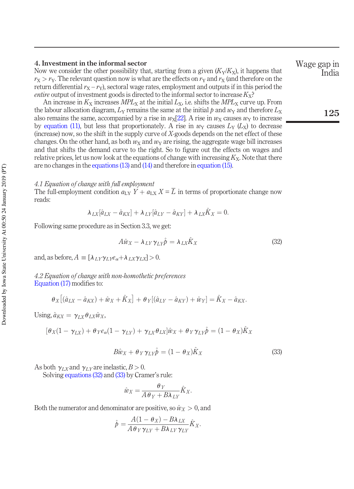#### 4. Investment in the informal sector

Now we consider the other possibility that, starting from a given  $(K_{\rm y}/K_{\rm x})$ , it happens that  $r_X > r_Y$ . The relevant question now is what are the effects on  $r_Y$  and  $r_X$  (and therefore on the return differential  $r_X - r_Y$ ), sectoral wage rates, employment and outputs if in this period the *entire* output of investment goods is directed to the informal sector to increase  $K_X$ ?

An increase in  $K_X$  increases  $MPL_X$  at the initial  $L_X$ , i.e. shifts the  $MPL_X$  curve up. From the labour allocation diagram,  $L_Y$  remains the same at the initial  $p$  and  $w_Y$  and therefore  $L_X$ also remains the same, accompanied by a rise in  $w_\text{X}[22]$ . A rise in  $w_\text{X}$  causes  $w_\text{Y}$  to increase by equation (11), but less that proportionately. A rise in  $w_Y$  causes  $L_Y(L_X)$  to decrease (increase) now, so the shift in the supply curve of *X*-goods depends on the net effect of these changes. On the other hand, as both  $w<sub>X</sub>$  and  $w<sub>Y</sub>$  are rising, the aggregate wage bill increases and that shifts the demand curve to the right. So to figure out the effects on wages and relative prices, let us now look at the equations of change with increasing  $K_X$ . Note that there are no changes in the equations (13) and (14) and therefore in equation (15).

#### *4.1 Equation of change with full employment*

The full-employment condition  $a_{\text{LY}} Y + a_{\text{LY}} X = \overline{L}$  in terms of proportionate change now reads:

$$
\lambda_{LX}[\hat{a}_{LX} - \hat{a}_{KX}] + \lambda_{LY}[\hat{a}_{LY} - \hat{a}_{KY}] + \lambda_{LX}\hat{K}_X = 0.
$$

Following same procedure as in Section 3.3, we get:

$$
A\hat{w}_X - \lambda_{LY}\gamma_{LY}\hat{p} = \lambda_{LX}\hat{K}_X
$$
\n(32)

and, as before,  $A = [\lambda_L y \gamma_L y e_\alpha + \lambda_L y \gamma_L x] > 0$ .

*4.2 Equation of change with non-homothetic preferences* Equation (17) modifies to:

$$
\theta_X[(\hat{a}_{LX}-\hat{a}_{KX})+\hat{w}_X+\hat{K}_X]+\theta_Y[(\hat{a}_{LY}-\hat{a}_{KY})+\hat{w}_Y]=\hat{K}_X-\hat{a}_{KX}.
$$

Using,  $\hat{a}_{KX} = \gamma_{LX} \theta_{LX} \hat{w}_X$ ,

$$
[\theta_X(1-\gamma_{LX})+\theta_Ye_\alpha(1-\gamma_{LY})+\gamma_{LX}\theta_{LX}]\hat{w}_X+\theta_Y\gamma_{LY}\hat{p}=(1-\theta_X)\hat{K}_X
$$

$$
B\hat{w}_X + \theta_Y \gamma_{LY} \hat{p} = (1 - \theta_X)\hat{K}_X \tag{33}
$$

As both  $\gamma_{LX}$  and  $\gamma_{LY}$  are inelastic,  $B > 0$ .

Solving equations (32) and (33) by Cramer's rule:

$$
\hat{w}_X = \frac{\theta_Y}{A\theta_Y + B\lambda_{LY}}\hat{K}_X.
$$

Both the numerator and denominator are positive, so  $\hat{w}_X > 0$ , and

$$
\hat{p} = \frac{A(1 - \theta_X) - B\lambda_{LX}}{A\theta_Y\gamma_{LY} + B\lambda_{LY}\gamma_{LY}}\hat{K}_X.
$$

Wage gap in India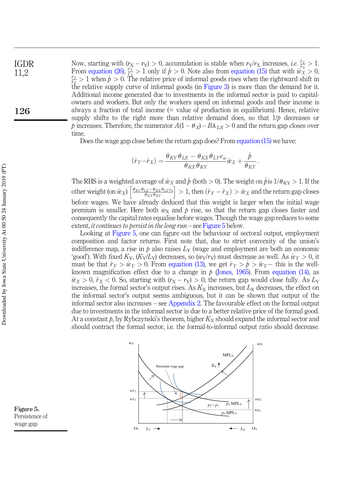Now, starting with  $(r_X - r_Y) > 0$ , accumulation is stable when  $r_Y/r_X$  increases, *i.e.*  $\frac{\hat{r}_Y}{\hat{r}_X} > 1$ . From equation (26),  $\frac{\hat{r}_Y}{\hat{r}_X} > 1$  only if  $\hat{p} > 0$ . Note also from equation (15) that with  $\hat{w}_X^{\hat{X}} > 0$ ,  $\frac{\hat{r}_Y}{\hat{r}_Y} > 1$  when  $\hat{p} > 0$ . The relative price of informal goods rises when the rightward shift in  $\hat{r}_x > 1$  when  $p > 0$ . The relative price of informal goods rises when the rightward sinte in the relative supply curve of informal goods (in Figure 3) is more than the demand for it. Additional income generated due to investments in the informal sector is paid to capitalowners and workers. But only the workers spend on informal goods and their income is always a fraction of total income (= value of production in equilibrium). Hence, relative supply shifts to the right more than relative demand does, so that 1/*p* decreases or p increases. Therefore, the numerator  $A(1 - \theta_X) - B\lambda_{LX} > 0$  and the return gap closes over time. IGDR 11,2 126

Does the wage gap close before the return gap does? From equation (15) we have:

$$
(\hat{r}_Y - \hat{r}_X) = \frac{\theta_{KY}\theta_{LX} - \theta_{KX}\theta_{LY}e_{\alpha}}{\theta_{KX}\theta_{KY}}\hat{w}_X + \frac{\hat{p}}{\theta_{KY}}.
$$

The RHS is a weighted average of  $\hat{w}_X$  and  $\hat{p}$  (both  $> 0$ ). The weight on  $\hat{p}$  is  $1/\theta_{\rm KV} > 1$ . If the other weight (on  $\hat{w}_X$ )  $\left| \frac{\theta_{KY}\theta_{LY}\theta_{KY}\theta_{KY}\theta_{kY}\theta_{kX}}{\theta_{KY}\theta_{KY}} \right| > 1$ , then  $(\hat{r}_Y - \hat{r}_X) > \hat{w}_X$  and the return gap closes before wages. We have already deduced that this weight is larger when the initial wage premium is smaller. Here both  $w<sub>X</sub>$  and  $p$  rise, so that the return gap closes faster and consequently the capital rates equalise before wages. Though the wage gap reduces to some extent, *it continues to persist in the long run* – see Figure 5 below.

Looking at Figure 5, one can figure out the behaviour of sectoral output, employment composition and factor returns. First note that, due to strict convexity of the union's indifference map, a rise in  $p$  also raises  $L_Y$  (wage and employment are both an economic 'good'). With fixed  $K_Y$ ,  $(K_Y/L_Y)$  decreases, so  $(w_Y/r_Y)$  must decrease as well. As  $\hat{w}_Y > 0$ , it must be that  $\hat{r}_Y > \hat{w}_Y > 0$ . From equation (13), we get  $\hat{r}_Y > \hat{p} > \hat{w}_Y$  – this is the wellknown magnification effect due to a change in  $p$  (Jones, 1965). From equation (14), as  $\hat{w}_X > 0$ ,  $\hat{r}_X < 0$ . So, starting with  $(r_X - r_Y) > 0$ , the return gap would close fully. As  $L_Y$ increases, the formal sector's output rises. As  $K_X$  increases, but  $L_X$  decreases, the effect on the informal sector's output seems ambiguous, but it can be shown that output of the informal sector also increases – see Appendix 2. The favourable effect on the formal output due to investments in the informal sector is due to a better relative price of the formal good. At a constant  $\hat{p}$ , by Rybczynski's theorem, higher  $K_X$  should expand the informal sector and should contract the formal sector, i.e. the formal-to-informal output ratio should decrease.



Figure 5. Persistence of wage gap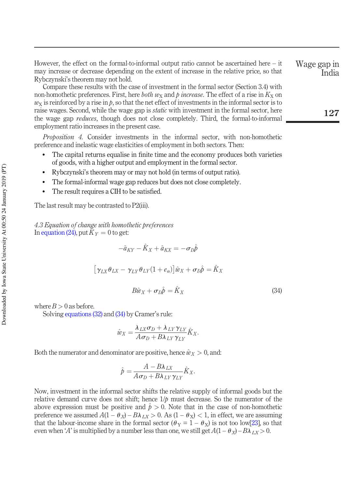However, the effect on the formal-to-informal output ratio cannot be ascertained here – it may increase or decrease depending on the extent of increase in the relative price, so that Rybczynski's theorem may not hold. Wage gap in

Compare these results with the case of investment in the formal sector (Section 3.4) with non-homothetic preferences. First, here *both*  $w<sub>X</sub>$  and  $p$  *increase*. The effect of a rise in  $K<sub>X</sub>$  on  $w_{\rm X}$  is reinforced by a rise in *p*, so that the net effect of investments in the informal sector is to raise wages. Second, while the wage gap is *static* with investment in the formal sector, here the wage gap *reduces*, though does not close completely. Third, the formal-to-informal employment ratio increases in the present case.

*Proposition 4.* Consider investments in the informal sector, with non-homothetic preference and inelastic wage elasticities of employment in both sectors. Then:

- The capital returns equalise in finite time and the economy produces both varieties of goods, with a higher output and employment in the formal sector.
- Rybczynski's theorem may or may not hold (in terms of output ratio).
- The formal-informal wage gap reduces but does not close completely.
- The result requires a CIH to be satisfied.

The last result may be contrasted to P2(iii).

*4.3 Equation of change with homothetic preferences* In equation (24), put  $\tilde{K}_Y = 0$  to get:

$$
-\hat{a}_{KY} - \hat{K}_X + \hat{a}_{KX} = -\sigma_D \hat{p}
$$

$$
[\gamma_{LX}\theta_{LX} - \gamma_{LY}\theta_{LY}(1 + e_{\alpha})]\hat{w}_X + \sigma_D\hat{p} = \hat{K}_X
$$

$$
B\hat{w}_X + \sigma_D \hat{p} = \hat{K}_X \tag{34}
$$

where  $B > 0$  as before.

Solving equations (32) and (34) by Cramer's rule:

$$
\hat{w}_X = \frac{\lambda_{LX}\sigma_D + \lambda_{LY}\gamma_{LY}}{A\sigma_D + BA_{LY}\gamma_{LY}}\hat{K}_X.
$$

Both the numerator and denominator are positive, hence  $\hat{w}_X > 0$ , and:

$$
\hat{p} = \frac{A - B\lambda_{LX}}{A\sigma_D + B\lambda_{LY}\gamma_{LY}}\hat{K}_X.
$$

Now, investment in the informal sector shifts the relative supply of informal goods but the relative demand curve does not shift; hence  $1/p$  must decrease. So the numerator of the above expression must be positive and  $\hat{p} > 0$ . Note that in the case of non-homothetic preference we assumed  $A(1 - \theta_X) - B\lambda_{LX} > 0$ . As  $(1 - \theta_X) < 1$ , in effect, we are assuming that the labour-income share in the formal sector  $(\theta_{\rm Y} = 1 - \theta_{\rm X})$  is not too low[23], so that even when '*A*' is multiplied by a number less than one, we still get  $A(1 - \theta_X) - B\lambda_{LX} > 0$ .

India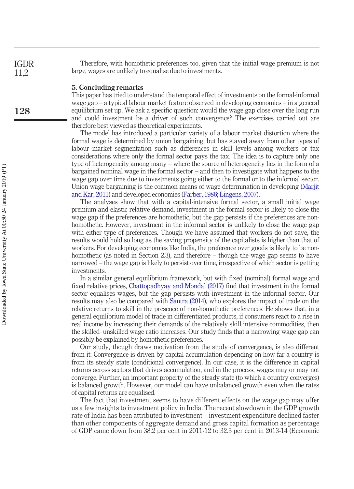Therefore, with homothetic preferences too, given that the initial wage premium is not large, wages are unlikely to equalise due to investments.

#### 5. Concluding remarks

This paper has tried to understand the temporal effect of investments on the formal-informal wage gap – a typical labour market feature observed in developing economies – in a general equilibrium set up. We ask a specific question: would the wage gap close over the long run and could investment be a driver of such convergence? The exercises carried out are therefore best viewed as theoretical experiments.

The model has introduced a particular variety of a labour market distortion where the formal wage is determined by union bargaining, but has stayed away from other types of labour market segmentation such as differences in skill levels among workers or tax considerations where only the formal sector pays the tax. The idea is to capture only one type of heterogeneity among many – where the source of heterogeneity lies in the form of a bargained nominal wage in the formal sector – and then to investigate what happens to the wage gap over time due to investments going either to the formal or to the informal sector. Union wage bargaining is the common means of wage determination in developing (Marjit and Kar, 2011) and developed economies (Farber, 1986; Lingens, 2007).

The analyses show that with a capital-intensive formal sector, a small initial wage premium and elastic relative demand, investment in the formal sector is likely to close the wage gap if the preferences are homothetic, but the gap persists if the preferences are nonhomothetic. However, investment in the informal sector is unlikely to close the wage gap with either type of preferences. Though we have assumed that workers do not save, the results would hold so long as the saving propensity of the capitalists is higher than that of workers. For developing economies like India, the preference over goods is likely to be nonhomothetic (as noted in Section 2.3), and therefore – though the wage gap seems to have narrowed – the wage gap is likely to persist over time, irrespective of which sector is getting investments.

In a similar general equilibrium framework, but with fixed (nominal) formal wage and fixed relative prices, Chattopadhyay and Mondal (2017) find that investment in the formal sector equalises wages, but the gap persists with investment in the informal sector. Our results may also be compared with Santra (2014), who explores the impact of trade on the relative returns to skill in the presence of non-homothetic preferences. He shows that, in a general equilibrium model of trade in differentiated products, if consumers react to a rise in real income by increasing their demands of the relatively skill intensive commodities, then the skilled–unskilled wage ratio increases. Our study finds that a narrowing wage gap can possibly be explained by homothetic preferences.

Our study, though draws motivation from the study of convergence, is also different from it. Convergence is driven by capital accumulation depending on how far a country is from its steady state (conditional convergence). In our case, it is the difference in capital returns across sectors that drives accumulation, and in the process, wages may or may not converge. Further, an important property of the steady state (to which a country converges) is balanced growth. However, our model can have unbalanced growth even when the rates of capital returns are equalised.

The fact that investment seems to have different effects on the wage gap may offer us a few insights to investment policy in India. The recent slowdown in the GDP growth rate of India has been attributed to investment – investment expenditure declined faster than other components of aggregate demand and gross capital formation as percentage of GDP came down from 38.2 per cent in 2011-12 to 32.3 per cent in 2013-14 (Economic

IGDR 11,2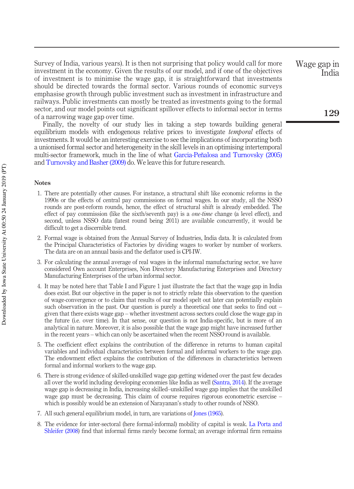Survey of India, various years). It is then not surprising that policy would call for more investment in the economy. Given the results of our model, and if one of the objectives of investment is to minimise the wage gap, it is straightforward that investments should be directed towards the formal sector. Various rounds of economic surveys emphasise growth through public investment such as investment in infrastructure and railways. Public investments can mostly be treated as investments going to the formal sector, and our model points out significant spillover effects to informal sector in terms of a narrowing wage gap over time.

Finally, the novelty of our study lies in taking a step towards building general equilibrium models with endogenous relative prices to investigate *temporal* effects of investments. It would be an interesting exercise to see the implications of incorporating both a unionised formal sector and heterogeneity in the skill levels in an optimising intertemporal multi-sector framework, much in the line of what García-Peñalosa and Turnovsky (2005) and Turnovsky and Basher (2009) do. We leave this for future research.

#### Notes

- 1. There are potentially other causes. For instance, a structural shift like economic reforms in the 1990s or the effects of central pay commissions on formal wages. In our study, all the NSSO rounds are post-reform rounds, hence, the effect of structural shift is already embedded. The effect of pay commission (like the sixth/seventh pay) is a *one-time* change (a level effect), and second, unless NSSO data (latest round being 2011) are available concurrently, it would be difficult to get a discernible trend.
- 2. Formal wage is obtained from the Annual Survey of Industries, India data. It is calculated from the Principal Characteristics of Factories by dividing wages to worker by number of workers. The data are on an annual basis and the deflator used is CPI-IW.
- 3. For calculating the annual average of real wages in the informal manufacturing sector, we have considered Own account Enterprises, Non Directory Manufacturing Enterprises and Directory Manufacturing Enterprises of the urban informal sector.
- 4. It may be noted here that Table I and Figure 1 just illustrate the fact that the wage gap in India does exist. But our objective in the paper is not to strictly relate this observation to the question of wage-convergence or to claim that results of our model spelt out later can potentially explain such observation in the past. Our question is purely a theoretical one that seeks to find out – given that there exists wage gap – whether investment across sectors could close the wage gap in the future (i.e. over time). In that sense, our question is not India-specific, but is more of an analytical in nature. Moreover, it is also possible that the wage gap might have increased further in the recent years – which can only be ascertained when the recent NSSO round is available.
- 5. The coefficient effect explains the contribution of the difference in returns to human capital variables and individual characteristics between formal and informal workers to the wage gap. The endowment effect explains the contribution of the differences in characteristics between formal and informal workers to the wage gap.
- 6. There is strong evidence of skilled-unskilled wage gap getting widened over the past few decades all over the world including developing economies like India as well (Santra, 2014). If the average wage gap is decreasing in India, increasing skilled–unskilled wage gap implies that the unskilled wage gap must be decreasing. This claim of course requires rigorous econometric exercise – which is possibly would be an extension of Narayanan's study to other rounds of NSSO.
- 7. All such general equilibrium model, in turn, are variations of Jones (1965).
- 8. The evidence for inter-sectoral (here formal-informal) mobility of capital is weak. La Porta and Shleifer (2008) find that informal firms rarely become formal; an average informal firm remains

Wage gap in India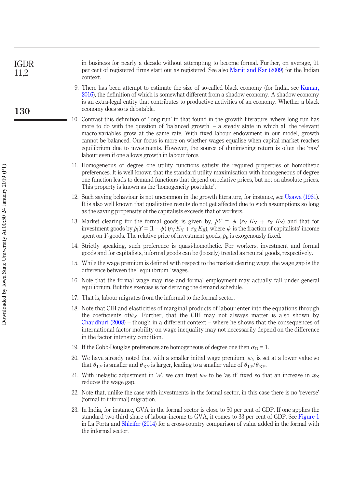| in business for nearly a decade without attempting to become formal. Further, on average, 91        |
|-----------------------------------------------------------------------------------------------------|
| per cent of registered firms start out as registered. See also Mariit and Kar (2009) for the Indian |
| context.                                                                                            |

- 9. There has been attempt to estimate the size of so-called black economy (for India, see Kumar, 2016), the definition of which is somewhat different from a shadow economy. A shadow economy is an extra-legal entity that contributes to productive activities of an economy. Whether a black economy does so is debatable.
- 10. Contrast this definition of 'long run' to that found in the growth literature, where long run has more to do with the question of 'balanced growth' – a steady state in which all the relevant macro-variables grow at the same rate. With fixed labour endowment in our model, growth cannot be balanced. Our focus is more on whether wages equalise when capital market reaches equilibrium due to investments. However, the source of diminishing return is often the 'raw' labour even if one allows growth in labour force.
- 11. Homogeneous of degree one utility functions satisfy the required properties of homothetic preferences. It is well known that the standard utility maximisation with homogeneous of degree one function leads to demand functions that depend on relative prices, but not on absolute prices. This property is known as the 'homogeneity postulate'.
- 12. Such saving behaviour is not uncommon in the growth literature, for instance, see Uzawa (1961). It is also well known that qualitative results do not get affected due to such assumptions so long as the saving propensity of the capitalists exceeds that of workers.
- 13. Market clearing for the formal goods is given by,  $pY = \psi (r_Y K_Y + r_X K_X)$  and that for investment goods by  $p_1Y = (1 - \psi)(r_Y K_Y + r_X K_X)$ , where  $\psi$  is the fraction of capitalists' income spent on *Y*-goods. The relative price of investment goods,  $p<sub>I</sub>$ , is exogenously fixed.
- 14. Strictly speaking, such preference is quasi-homothetic. For workers, investment and formal goods and for capitalists, informal goods can be (loosely) treated as neutral goods, respectively.
- 15. While the wage premium is defined with respect to the market clearing wage, the wage gap is the difference between the "equilibrium" wages.
- 16. Note that the formal wage may rise and formal employment may actually fall under general equilibrium. But this exercise is for deriving the demand schedule.
- 17. That is, labour migrates from the informal to the formal sector.
- 18. Note that CIH and elasticities of marginal products of labour enter into the equations through the coefficients of  $\hat{w}_x$ . Further, that the CIH may not always matter is also shown by Chaudhuri  $(2008)$  – though in a different context – where he shows that the consequences of international factor mobility on wage inequality may not necessarily depend on the difference in the factor intensity condition.
- 19. If the Cobb-Douglas preferences are homogeneous of degree one then  $\sigma_{\rm D} = 1$ .
- 20. We have already noted that with a smaller initial wage premium,  $w<sub>Y</sub>$  is set at a lower value so that  $\theta_{LY}$  is smaller and  $\theta_{KY}$  is larger, leading to a smaller value of  $\theta_{LY}/\theta_{KY}$ .
- 21. With inelastic adjustment in ' $\alpha$ ', we can treat  $w_Y$  to be 'as if' fixed so that an increase in  $w_X$ reduces the wage gap.
- 22. Note that, unlike the case with investments in the formal sector, in this case there is no 'reverse' (formal to informal) migration.
- 23. In India, for instance, GVA in the formal sector is close to 50 per cent of GDP. If one applies the standard two-third share of labour-income to GVA, it comes to 33 per cent of GDP. See Figure 1 in La Porta and Shleifer (2014) for a cross-country comparison of value added in the formal with the informal sector.

IGDR 11,2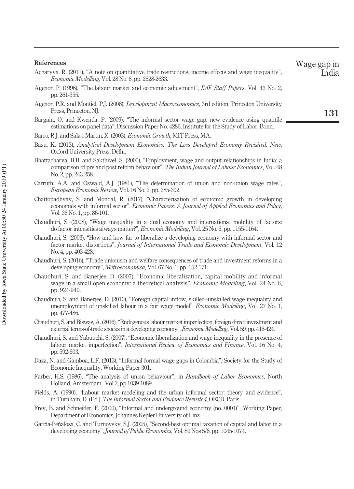#### References

Acharyya, R. (2011), "A note on quantitative trade restrictions, income effects and wage inequality", *Economic Modelling*, Vol. 28 No. 6, pp. 2628-2633.

- Agenor, P. (1996), "The labour market and economic adjustment", *IMF Staff Papers*, Vol. 43 No. 2, pp. 261-355.
- Agenor, P.R. and Montiel, P.J. (2008), *Development Macroeconomics*, 3rd edition, Princeton University Press, Princeton, NJ.
- Bargain, O. and Kwenda, P. (2009), "The informal sector wage gap: new evidence using quantile estimations on panel data", Discussion Paper No. 4286, Institute for the Study of Labor, Bonn.
- Barro, R.J. and Sala-i-Martin, X. (2003), *Economic Growth*, MIT Press, MA.
- Basu, K. (2013), *Analytical Development Economics: The Less Developed Economy Revisited. New*, Oxford University Press, Delhi.
- Bhattacharya, B.B. and Sakthivel, S. (2005), "Employment, wage and output relationships in India: a comparison of pre and post reform behaviour", *The Indian Journal of Labour Economics*, Vol. 48 No. 2, pp. 243-258.
- Carruth, A.A. and Oswald, A.J. (1981), "The determination of union and non-union wage rates", *European Economic Review*, Vol. 16 No. 2, pp. 285-302.
- Chattopadhyay, S. and Mondal, R. (2017), "Characterisation of economic growth in developing economies with informal sector", *Economic Papers: A Journal of Applied Economics and Policy*, Vol. 36 No. 1, pp. 86-101.
- Chaudhuri, S. (2008), "Wage inequality in a dual economy and international mobility of factors: do factor intensities always matter?", *Economic Modelling*, Vol. 25 No. 6, pp. 1155-1164.
- Chaudhuri, S. (2003), "How and how far to liberalize a developing economy with informal sector and factor market distortions", *Journal of International Trade and Economic Development*, Vol. 12 No. 4, pp. 403-428.
- Chaudhuri, S. (2016), "Trade unionism and welfare consequences of trade and investment reforms in a developing economy", *Metroeconomica*, Vol. 67 No. 1, pp. 152-171.
- Chaudhuri, S. and Banerjee, D. (2007), "Economic liberalization, capital mobility and informal wage in a small open economy: a theoretical analysis", *Economic Modelling*, Vol. 24 No. 6, pp. 924-940.
- Chaudhuri, S. and Banerjee, D. (2010), "Foreign capital inflow, skilled–unskilled wage inequality and unemployment of unskilled labour in a fair wage model", *Economic Modelling*, Vol. 27 No. 1, pp. 477-486.
- Chaudhuri, S. and Biswas, A. (2016),"Endogenous labour market imperfection, foreign direct investment and external terms-of-trade shocks in a developing economy", *Economic Modelling*, Vol. 59, pp. 416-424.
- Chaudhuri, S. and Yabuuchi, S. (2007), "Economic liberalization and wage inequality in the presence of labour market imperfection", *International Review of Economics and Finance*, Vol. 16 No. 4, pp. 592-603.
- Daza, N. and Gamboa, L.F. (2013), "Informal-formal wage gaps in Colombia", Society for the Study of Economic Inequality, Working Paper 301.
- Farber, H.S. (1986), "The analysis of union behaviour", in *Handbook of Labor Economics*, North Holland, Amsterdam, Vol 2, pp 1039-1089.
- Fields, A. (1990), "Labour market modeling and the urban informal sector: theory and evidence", in Turnham, D. (Ed.), *The Informal Sector and Evidence Revisited*, OECD, Paris.
- Frey, B. and Schneider, F. (2000), "Informal and underground economy (no. 0004)", Working Paper, Department of Economics, Johannes Kepler University of Linz.
- García-Peñalosa, C. and Turnovsky, S.J. (2005), "Second-best optimal taxation of capital and labor in a developing economy", *Journal of Public Economics*, Vol. 89 Nos 5/6, pp. 1045-1074.

India

Wage gap in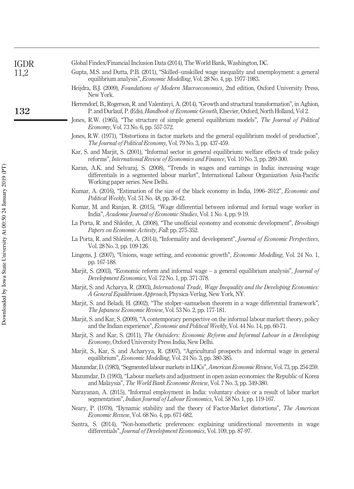| <b>IGDR</b> | Global Findex/Financial Inclusion Data (2014), The World Bank, Washington, DC.                                                                                                                                                  |
|-------------|---------------------------------------------------------------------------------------------------------------------------------------------------------------------------------------------------------------------------------|
| 11,2        | Gupta, M.S. and Dutta, P.B. (2011), "Skilled-unskilled wage inequality and unemployment: a general<br>equilibrium analysis", Economic Modelling, Vol. 28 No. 4, pp. 1977-1983.                                                  |
|             | Heijdra, B.J. (2009), Foundations of Modern Macroeconomics, 2nd edition, Oxford University Press,<br>New York.                                                                                                                  |
| 132         | Herrendorf, B., Rogerson, R. and Valentinyi, A. (2014), "Growth and structural transformation", in Aghion,<br>P. and Durlauf, P. (Eds), <i>Handbook of Economic Growth</i> , Elsevier, Oxford, North Holland, Vol 2.            |
|             | Jones, R.W. (1965), "The structure of simple general equilibrium models", The Journal of Political<br><i>Economy</i> , Vol. 73 No. 6, pp. 557-572.                                                                              |
|             | Jones, R.W. (1971), "Distortions in factor markets and the general equilibrium model of production",<br>The Journal of Political Economy, Vol. 79 No. 3, pp. 437-459.                                                           |
|             | Kar, S. and Marjit, S. (2001), "Informal sector in general equilibrium: welfare effects of trade policy<br>reforms", International Review of Economics and Finance, Vol. 10 No. 3, pp. 289-300.                                 |
|             | Karan, A.K. and Selvaraj, S. (2008), "Trends in wages and earnings in India: increasing wage<br>differentials in a segmented labour market", International Labour Organization Asia-Pacific<br>Working paper series. New Delhi. |
|             | Kumar, A. (2016), "Estimation of the size of the black economy in India, 1996–2012", <i>Economic and</i><br>Political Weekly, Vol. 51 No. 48, pp. 36-42.                                                                        |
|             | Kumar, M. and Ranjan, R. (2015), "Wage differential between informal and formal wage worker in<br>India", Academic Journal of Economic Studies, Vol. 1 No. 4, pp. 9-19.                                                         |
|             | La Porta, R. and Shleifer, A. (2008), "The unofficial economy and economic development", Brookings<br>Papers on Economic Activity, Fall: pp. 275-352.                                                                           |
|             | La Porta, R. and Shleifer, A. (2014), "Informality and development", <i>Journal of Economic Perspectives</i> ,<br>Vol. 28 No. 3, pp. 109-126.                                                                                   |
|             | Lingens, J. (2007), "Unions, wage setting, and economic growth", <i>Economic Modelling</i> , Vol. 24 No. 1,<br>pp. 167-188.                                                                                                     |
|             | Marjit, S. (2003), "Economic reform and informal wage - a general equilibrium analysis", Journal of<br>Development Economics, Vol. 72 No. 1, pp. 371-378.                                                                       |
|             | Marjit, S. and Acharya, R. (2003), International Trade, Wage Inequality and the Developing Economies:<br>A General Equilibrium Approach, Physica-Verlag, New York, NY.                                                          |
|             | Marjit, S. and Beladi, H. (2002), "The stolper-samuelson theorem in a wage differential framework",<br>The Japanese Economic Review, Vol. 53 No. 2, pp. 177-181.                                                                |
|             | Marjit, S. and Kar, S. (2009), "A contemporary perspective on the informal labour market: theory, policy<br>and the Indian experience", Economic and Political Weekly, Vol. 44 No. 14, pp. 60-71.                               |
|             | Marjit, S. and Kar, S. (2011), The Outsiders: Economic Reform and Informal Labour in a Developing<br>Economy, Oxford University Press India, New Delhi.                                                                         |
|             | Marjit, S., Kar, S. and Acharyya, R. (2007), "Agricultural prospects and informal wage in general<br>equilibrium", Economic Modelling, Vol. 24 No. 3, pp. 380-385.                                                              |
|             | Mazumdar, D. (1983), "Segmented labour markets in LDCs", American Economic Review, Vol. 73, pp. 254-259.                                                                                                                        |
|             | Mazumdar, D. (1993), "Labour markets and adjustment in open asian economies: the Republic of Korea<br>and Malaysia", The World Bank Economic Review, Vol. 7 No. 3, pp. 349-380.                                                 |
|             | Narayanan, A. (2015), "Informal employment in India: voluntary choice or a result of labor market<br>segmentation", Indian Journal of Labour Economics, Vol. 58 No. 1, pp. 119-167.                                             |
|             | Neary, P. (1978), "Dynamic stability and the theory of Factor-Market distortions", The American<br><i>Economic Review</i> , Vol. 68 No. 4, pp. 671-682.                                                                         |
|             | Santra, S. (2014), "Non-homothetic preferences: explaining unidirectional movements in wage<br>differentials", Journal of Development Economics, Vol. 109, pp. 87-97.                                                           |
|             |                                                                                                                                                                                                                                 |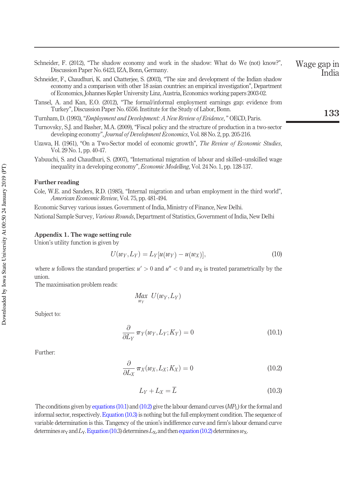| Schneider, F. (2012), "The shadow economy and work in the shadow: What do We (not) know?",<br>Discussion Paper No. 6423, IZA, Bonn, Germany.                                                                                                                                                           | Wage gap in<br>India |
|--------------------------------------------------------------------------------------------------------------------------------------------------------------------------------------------------------------------------------------------------------------------------------------------------------|----------------------|
| Schneider, F., Chaudhuri, K. and Chatterjee, S. (2003), "The size and development of the Indian shadow<br>economy and a comparison with other 18 asian countries: an empirical investigation", Department<br>of Economics, Johannes Kepler University Linz, Austria, Economics working papers 2003-02. |                      |
| Tansel, A. and Kan, E.O. (2012), "The formal/informal employment earnings gap: evidence from<br>Turkey", Discussion Paper No. 6556. Institute for the Study of Labor, Bonn.                                                                                                                            | 133                  |
| Turnham, D. (1993), "Employment and Development: A New Review of Evidence," OECD, Paris.                                                                                                                                                                                                               |                      |

Turnovsky, S.J. and Basher, M.A. (2009), "Fiscal policy and the structure of production in a two-sector developing economy", *Journal of Development Economics*, Vol. 88 No. 2, pp. 205-216.

Uzawa, H. (1961), "On a Two-Sector model of economic growth", *The Review of Economic Studies*, Vol. 29 No. 1, pp. 40-47.

Yabuuchi, S. and Chaudhuri, S. (2007), "International migration of labour and skilled–unskilled wage inequality in a developing economy", *Economic Modelling*, Vol. 24 No. 1, pp. 128-137.

#### Further reading

Cole, W.E. and Sanders, R.D. (1985), "Internal migration and urban employment in the third world", *American Economic Review*, Vol. 75, pp. 481-494.

Economic Survey various issues. Government of India, Ministry of Finance, New Delhi.

National Sample Survey, *Various Rounds*, Department of Statistics, Government of India, New Delhi

#### Appendix 1. The wage setting rule

Union's utility function is given by

$$
U(w_Y, L_Y) = L_Y[u(w_Y) - u(w_X)],
$$
\n(10)

where *u* follows the standard properties:  $u' > 0$  and  $u'' < 0$  and  $w_X$  is treated parametrically by the union.

The maximisation problem reads:

$$
\underset{w_Y}{Max} \ U(w_Y, L_Y)
$$

Subject to:

$$
\frac{\partial}{\partial L_Y} \pi_Y(w_Y, L_Y; K_Y) = 0 \tag{10.1}
$$

Further:

$$
\frac{\partial}{\partial L_X} \pi_X(w_X, L_X; K_X) = 0 \tag{10.2}
$$

$$
L_Y + L_X = \overline{L} \tag{10.3}
$$

The conditions given by equations (10.1) and (10.2) give the labour demand curves  $(MP<sub>L</sub>)$  for the formal and informal sector, respectively. Equation (10.3) is nothing but the full employment condition. The sequence of variable determination is this. Tangency of the union's indifference curve and firm's labour demand curve determines  $w_Y$  and  $L_Y$ . Equation (10.3) determines  $L_X$ , and then equation (10.2) determines  $w_X$ .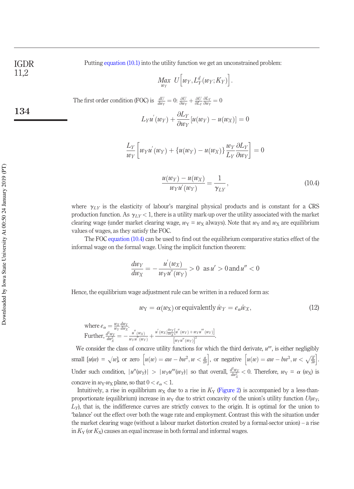Putting equation (10.1) into the utility function we get an unconstrained problem:

$$
Max_{w_Y} U\Big[w_Y, L_Y^d(w_Y; K_Y)\Big].
$$

The first order condition (FOC) is  $\frac{dU}{dw_Y} = 0$ :  $\frac{\partial U}{\partial w_Y} + \frac{\partial U}{\partial L_Y} \frac{\partial L_Y}{\partial w_Y} = 0$ 

$$
L_Y u^{'}(w_Y) + \frac{\partial L_Y}{\partial w_Y}[u(w_Y) - u(w_X)] = 0
$$

$$
\frac{L_Y}{w_Y} \left[ w_Y u'(w_Y) + \{ u(w_Y) - u(w_X) \} \frac{w_Y}{L_Y} \frac{\partial L_Y}{\partial w_Y} \right] = 0
$$

$$
\frac{u(w_Y) - u(w_X)}{w_Y u'(w_Y)} = \frac{1}{\gamma_{LY}},
$$
\n(10.4)

where  $\gamma_{IV}$  is the elasticity of labour's marginal physical products and is constant for a CRS production function. As  $\gamma_{LY}$  < 1, there is a utility mark-up over the utility associated with the market clearing wage (under market clearing wage,  $w_Y = w_X$  always). Note that  $w_Y$  and  $w_X$  are equilibrium values of wages, as they satisfy the FOC.

The FOC equation (10.4) can be used to find out the equilibrium comparative statics effect of the informal wage on the formal wage. Using the implicit function theorem:

$$
\frac{dw_Y}{dw_X} = -\frac{u^{'}(w_X)}{w_Yu^{''}(w_Y)} > 0 \text{ as } u' > 0 \text{ and } u'' < 0
$$

Hence, the equilibrium wage adjustment rule can be written in a reduced form as:

$$
w_Y = \alpha(w_X) \text{ or equivalently } \hat{w}_Y = e_\alpha \hat{w}_X,\tag{12}
$$

where  $e_{\alpha} = \frac{w_X}{w_Y} \frac{dw_Y}{dw_X}$ . Further,  $\frac{d^2 w_Y}{d w_X^2} = -\frac{u''(w_X)}{w_Y u''(w_Y)}$  $\frac{u''(w_X)}{w_Yu''(w_Y)} + \frac{u'(w_X)\frac{dw_Y}{dw_X}[u''(w_Y) + w_Yu'''(w_Y)]}{[w_Yu''(w_Y)]^2}$  $\frac{[w_Yu''(w_Y)]^2}{[w_Yu''(w_Y)]^2}$ 

We consider the class of concave utility functions for which the third derivate,  $u'''$ , is either negligibly small  $[u(w) = \sqrt{w}]$ , or zero  $\left[u(w) = aw - bw^2, w < \frac{a}{2b}\right]$ , or negative  $\left[u(w) = aw - bw^3, w < \sqrt{\frac{a}{3b}}\right]$ . Under such condition,  $|u''(w_Y)| > |w_Y u'''(w_Y)|$  so that overall,  $\frac{d^2w_Y}{dw_X^2} < 0$ . Therefore,  $w_Y = \alpha(w_X)$  is concave in  $w_Y w_X$  plane, so that  $0 < e_\alpha < 1$ .

Intuitively, a rise in equilibrium  $w<sub>X</sub>$  due to a rise in  $K<sub>Y</sub>$  (Figure 2) is accompanied by a less-thanproportionate (equilibrium) increase in  $w_Y$  due to strict concavity of the union's utility function  $U(w_Y,$  $L<sub>Y</sub>$ ), that is, the indifference curves are strictly convex to the origin. It is optimal for the union to 'balance' out the effect over both the wage rate and employment. Contrast this with the situation under the market clearing wage (without a labour market distortion created by a formal-sector union) – a rise in  $K_Y$  (or  $K_X$ ) causes an equal increase in both formal and informal wages.

IGDR 11,2